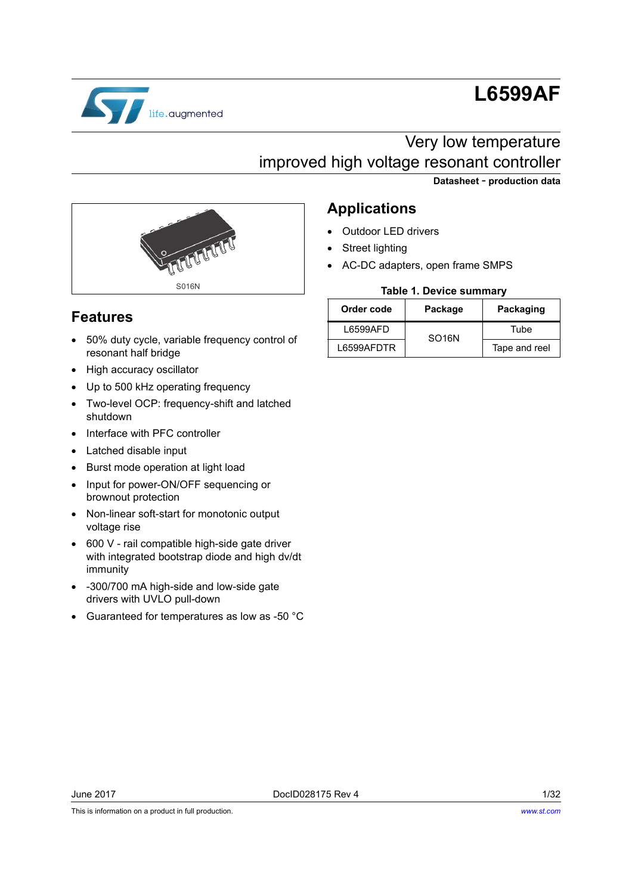

# **L6599AF**

# Very low temperature improved high voltage resonant controller





# **Features**

- 50% duty cycle, variable frequency control of resonant half bridge
- High accuracy oscillator
- Up to 500 kHz operating frequency
- Two-level OCP: frequency-shift and latched shutdown
- Interface with PFC controller
- Latched disable input
- Burst mode operation at light load
- Input for power-ON/OFF sequencing or brownout protection
- Non-linear soft-start for monotonic output voltage rise
- 600 V rail compatible high-side gate driver with integrated bootstrap diode and high dv/dt immunity
- -300/700 mA high-side and low-side gate drivers with UVLO pull-down
- Guaranteed for temperatures as low as -50 °C

# **Applications**

- Outdoor LED drivers
- Street lighting
- AC-DC adapters, open frame SMPS

### **Table 1. Device summary**

| Order code | Package            | Packaging     |  |
|------------|--------------------|---------------|--|
| L6599AFD   | SO <sub>16</sub> N | Tube          |  |
| L6599AFDTR |                    | Tape and reel |  |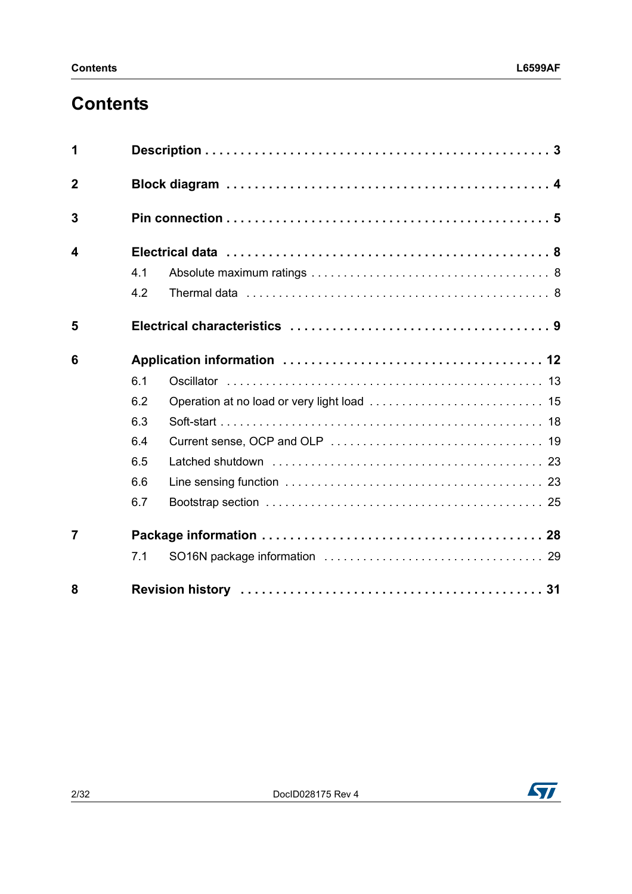# **Contents**

| 1              |                                                                                                                                                                                                                                      |  |  |  |  |
|----------------|--------------------------------------------------------------------------------------------------------------------------------------------------------------------------------------------------------------------------------------|--|--|--|--|
| $\overline{2}$ |                                                                                                                                                                                                                                      |  |  |  |  |
| 3              |                                                                                                                                                                                                                                      |  |  |  |  |
| 4              |                                                                                                                                                                                                                                      |  |  |  |  |
|                | 4.1                                                                                                                                                                                                                                  |  |  |  |  |
|                | 4.2<br>Thermal data enterpreteration of the contract of the contract of the contract of the contract of the contract of the contract of the contract of the contract of the contract of the contract of the contract of the contract |  |  |  |  |
| 5              |                                                                                                                                                                                                                                      |  |  |  |  |
| 6              |                                                                                                                                                                                                                                      |  |  |  |  |
|                | 6.1                                                                                                                                                                                                                                  |  |  |  |  |
|                | 6.2                                                                                                                                                                                                                                  |  |  |  |  |
|                | 6.3                                                                                                                                                                                                                                  |  |  |  |  |
|                | 6.4                                                                                                                                                                                                                                  |  |  |  |  |
|                | 6.5                                                                                                                                                                                                                                  |  |  |  |  |
|                | 6.6                                                                                                                                                                                                                                  |  |  |  |  |
|                | 6.7                                                                                                                                                                                                                                  |  |  |  |  |
| $\overline{7}$ |                                                                                                                                                                                                                                      |  |  |  |  |
|                | 7.1                                                                                                                                                                                                                                  |  |  |  |  |
| 8              |                                                                                                                                                                                                                                      |  |  |  |  |

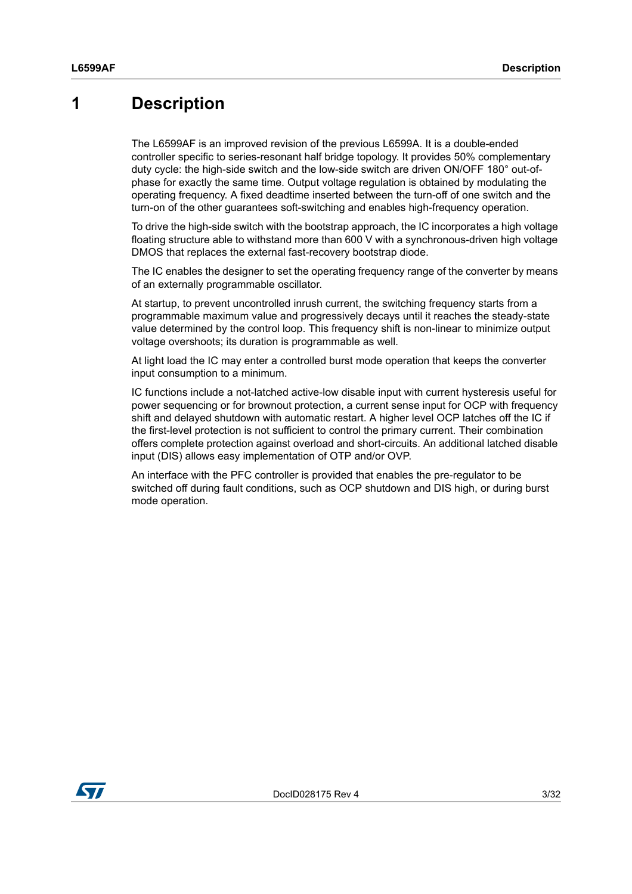# <span id="page-2-0"></span>**1 Description**

The L6599AF is an improved revision of the previous L6599A. It is a double-ended controller specific to series-resonant half bridge topology. It provides 50% complementary duty cycle: the high-side switch and the low-side switch are driven ON/OFF 180° out-ofphase for exactly the same time. Output voltage regulation is obtained by modulating the operating frequency. A fixed deadtime inserted between the turn-off of one switch and the turn-on of the other guarantees soft-switching and enables high-frequency operation.

To drive the high-side switch with the bootstrap approach, the IC incorporates a high voltage floating structure able to withstand more than 600 V with a synchronous-driven high voltage DMOS that replaces the external fast-recovery bootstrap diode.

The IC enables the designer to set the operating frequency range of the converter by means of an externally programmable oscillator.

At startup, to prevent uncontrolled inrush current, the switching frequency starts from a programmable maximum value and progressively decays until it reaches the steady-state value determined by the control loop. This frequency shift is non-linear to minimize output voltage overshoots; its duration is programmable as well.

At light load the IC may enter a controlled burst mode operation that keeps the converter input consumption to a minimum.

IC functions include a not-latched active-low disable input with current hysteresis useful for power sequencing or for brownout protection, a current sense input for OCP with frequency shift and delayed shutdown with automatic restart. A higher level OCP latches off the IC if the first-level protection is not sufficient to control the primary current. Their combination offers complete protection against overload and short-circuits. An additional latched disable input (DIS) allows easy implementation of OTP and/or OVP.

An interface with the PFC controller is provided that enables the pre-regulator to be switched off during fault conditions, such as OCP shutdown and DIS high, or during burst mode operation.

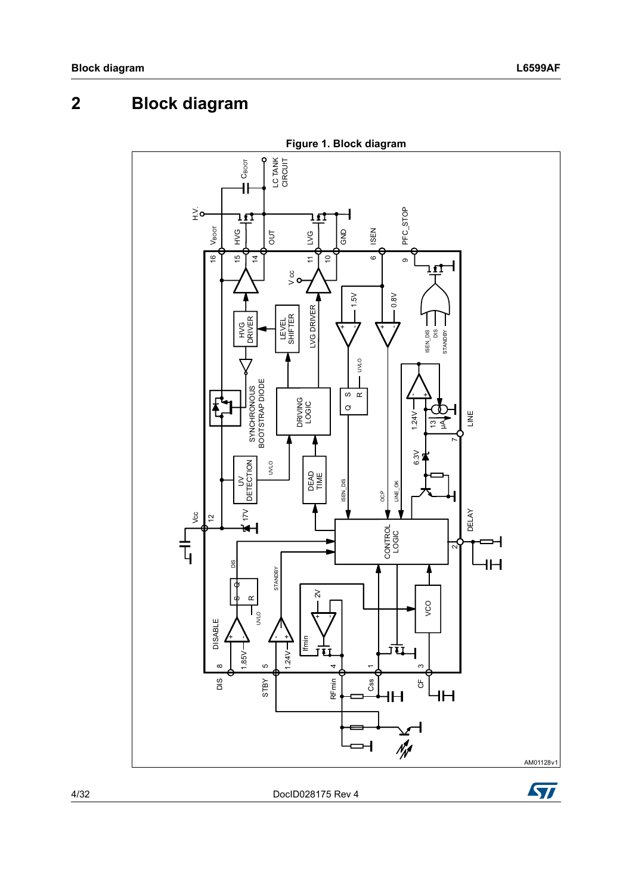# <span id="page-3-0"></span>**2 Block diagram**



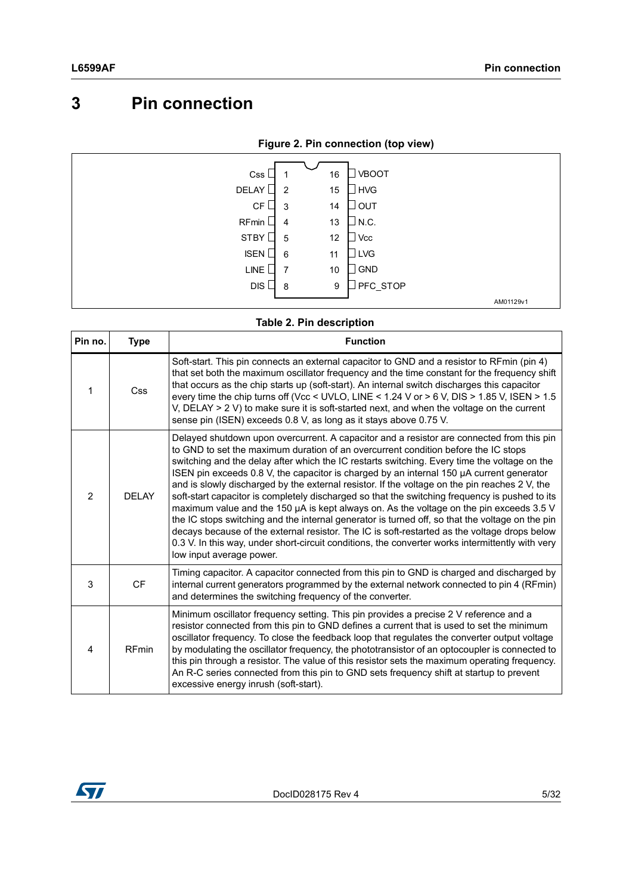# <span id="page-4-0"></span>**3 Pin connection**

|  | Figure 2. Pin connection (top view) |  |
|--|-------------------------------------|--|
|  |                                     |  |

| Css         | 16                   | <b>VBOOT</b> |           |
|-------------|----------------------|--------------|-----------|
| DELAY       | 15<br>$\overline{2}$ | <b>HVG</b>   |           |
| CF          | 14<br>3              | OUT          |           |
| RFmin       | 13<br>4              | N.C.         |           |
| STBY        | 12<br>5              | <b>Vcc</b>   |           |
| <b>ISEN</b> | 6<br>11              | <b>LVG</b>   |           |
| <b>LINE</b> | 10<br>7              | <b>GND</b>   |           |
| DIS         | 9<br>8               | PFC_STOP     |           |
|             |                      |              | AM01129v1 |

### **Table 2. Pin description**

| Pin no. | <b>Type</b>  | <b>Function</b>                                                                                                                                                                                                                                                                                                                                                                                                                                                                                                                                                                                                                                                                                                                                                                                                                                                                                                                                                                                              |
|---------|--------------|--------------------------------------------------------------------------------------------------------------------------------------------------------------------------------------------------------------------------------------------------------------------------------------------------------------------------------------------------------------------------------------------------------------------------------------------------------------------------------------------------------------------------------------------------------------------------------------------------------------------------------------------------------------------------------------------------------------------------------------------------------------------------------------------------------------------------------------------------------------------------------------------------------------------------------------------------------------------------------------------------------------|
| 1       | <b>Css</b>   | Soft-start. This pin connects an external capacitor to GND and a resistor to RFmin (pin 4)<br>that set both the maximum oscillator frequency and the time constant for the frequency shift<br>that occurs as the chip starts up (soft-start). An internal switch discharges this capacitor<br>every time the chip turns off (Vcc < UVLO, LINE < $1.24$ V or > 6 V, DIS > $1.85$ V, ISEN > $1.5$<br>V, DELAY $> 2$ V) to make sure it is soft-started next, and when the voltage on the current<br>sense pin (ISEN) exceeds 0.8 V, as long as it stays above 0.75 V.                                                                                                                                                                                                                                                                                                                                                                                                                                          |
| 2       | DFI AY       | Delayed shutdown upon overcurrent. A capacitor and a resistor are connected from this pin<br>to GND to set the maximum duration of an overcurrent condition before the IC stops<br>switching and the delay after which the IC restarts switching. Every time the voltage on the<br>ISEN pin exceeds 0.8 V, the capacitor is charged by an internal 150 µA current generator<br>and is slowly discharged by the external resistor. If the voltage on the pin reaches 2 V, the<br>soft-start capacitor is completely discharged so that the switching frequency is pushed to its<br>maximum value and the 150 µA is kept always on. As the voltage on the pin exceeds 3.5 V<br>the IC stops switching and the internal generator is turned off, so that the voltage on the pin<br>decays because of the external resistor. The IC is soft-restarted as the voltage drops below<br>0.3 V. In this way, under short-circuit conditions, the converter works intermittently with very<br>low input average power. |
| 3       | <b>CF</b>    | Timing capacitor. A capacitor connected from this pin to GND is charged and discharged by<br>internal current generators programmed by the external network connected to pin 4 (RFmin)<br>and determines the switching frequency of the converter.                                                                                                                                                                                                                                                                                                                                                                                                                                                                                                                                                                                                                                                                                                                                                           |
| 4       | <b>RFmin</b> | Minimum oscillator frequency setting. This pin provides a precise 2 V reference and a<br>resistor connected from this pin to GND defines a current that is used to set the minimum<br>oscillator frequency. To close the feedback loop that regulates the converter output voltage<br>by modulating the oscillator frequency, the phototransistor of an optocoupler is connected to<br>this pin through a resistor. The value of this resistor sets the maximum operating frequency.<br>An R-C series connected from this pin to GND sets frequency shift at startup to prevent<br>excessive energy inrush (soft-start).                                                                                                                                                                                                                                                                                                                                                                                     |

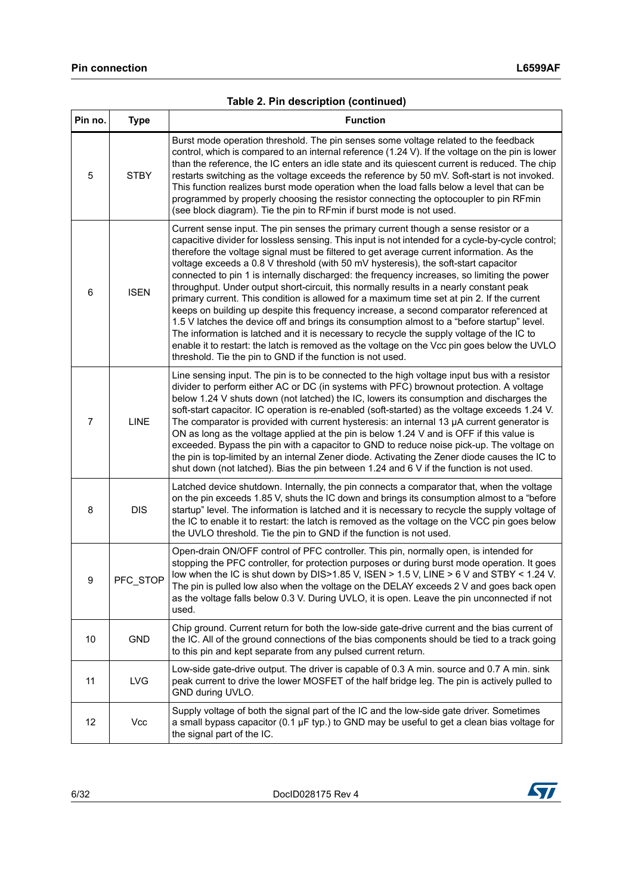| Pin no.        | <b>Type</b> | <b>Function</b>                                                                                                                                                                                                                                                                                                                                                                                                                                                                                                                                                                                                                                                                                                                                                                                                                                                                                                                                                                                                                                                                                                           |
|----------------|-------------|---------------------------------------------------------------------------------------------------------------------------------------------------------------------------------------------------------------------------------------------------------------------------------------------------------------------------------------------------------------------------------------------------------------------------------------------------------------------------------------------------------------------------------------------------------------------------------------------------------------------------------------------------------------------------------------------------------------------------------------------------------------------------------------------------------------------------------------------------------------------------------------------------------------------------------------------------------------------------------------------------------------------------------------------------------------------------------------------------------------------------|
| 5              | <b>STBY</b> | Burst mode operation threshold. The pin senses some voltage related to the feedback<br>control, which is compared to an internal reference (1.24 V). If the voltage on the pin is lower<br>than the reference, the IC enters an idle state and its quiescent current is reduced. The chip<br>restarts switching as the voltage exceeds the reference by 50 mV. Soft-start is not invoked.<br>This function realizes burst mode operation when the load falls below a level that can be<br>programmed by properly choosing the resistor connecting the optocoupler to pin RFmin<br>(see block diagram). Tie the pin to RFmin if burst mode is not used.                                                                                                                                                                                                                                                                                                                                                                                                                                                                    |
| 6              | <b>ISEN</b> | Current sense input. The pin senses the primary current though a sense resistor or a<br>capacitive divider for lossless sensing. This input is not intended for a cycle-by-cycle control;<br>therefore the voltage signal must be filtered to get average current information. As the<br>voltage exceeds a 0.8 V threshold (with 50 mV hysteresis), the soft-start capacitor<br>connected to pin 1 is internally discharged: the frequency increases, so limiting the power<br>throughput. Under output short-circuit, this normally results in a nearly constant peak<br>primary current. This condition is allowed for a maximum time set at pin 2. If the current<br>keeps on building up despite this frequency increase, a second comparator referenced at<br>1.5 V latches the device off and brings its consumption almost to a "before startup" level.<br>The information is latched and it is necessary to recycle the supply voltage of the IC to<br>enable it to restart: the latch is removed as the voltage on the Vcc pin goes below the UVLO<br>threshold. Tie the pin to GND if the function is not used. |
| $\overline{7}$ | <b>LINE</b> | Line sensing input. The pin is to be connected to the high voltage input bus with a resistor<br>divider to perform either AC or DC (in systems with PFC) brownout protection. A voltage<br>below 1.24 V shuts down (not latched) the IC, lowers its consumption and discharges the<br>soft-start capacitor. IC operation is re-enabled (soft-started) as the voltage exceeds 1.24 V.<br>The comparator is provided with current hysteresis: an internal 13 $\mu$ A current generator is<br>ON as long as the voltage applied at the pin is below 1.24 V and is OFF if this value is<br>exceeded. Bypass the pin with a capacitor to GND to reduce noise pick-up. The voltage on<br>the pin is top-limited by an internal Zener diode. Activating the Zener diode causes the IC to<br>shut down (not latched). Bias the pin between 1.24 and 6 V if the function is not used.                                                                                                                                                                                                                                              |
| 8              | <b>DIS</b>  | Latched device shutdown. Internally, the pin connects a comparator that, when the voltage<br>on the pin exceeds 1.85 V, shuts the IC down and brings its consumption almost to a "before<br>startup" level. The information is latched and it is necessary to recycle the supply voltage of<br>the IC to enable it to restart: the latch is removed as the voltage on the VCC pin goes below<br>the UVLO threshold. Tie the pin to GND if the function is not used.                                                                                                                                                                                                                                                                                                                                                                                                                                                                                                                                                                                                                                                       |
| 9              | PFC STOP    | Open-drain ON/OFF control of PFC controller. This pin, normally open, is intended for<br>stopping the PFC controller, for protection purposes or during burst mode operation. It goes<br>low when the IC is shut down by DIS>1.85 V, ISEN > 1.5 V, LINE > 6 V and STBY < 1.24 V.<br>The pin is pulled low also when the voltage on the DELAY exceeds 2 V and goes back open<br>as the voltage falls below 0.3 V. During UVLO, it is open. Leave the pin unconnected if not<br>used.                                                                                                                                                                                                                                                                                                                                                                                                                                                                                                                                                                                                                                       |
| 10             | <b>GND</b>  | Chip ground. Current return for both the low-side gate-drive current and the bias current of<br>the IC. All of the ground connections of the bias components should be tied to a track going<br>to this pin and kept separate from any pulsed current return.                                                                                                                                                                                                                                                                                                                                                                                                                                                                                                                                                                                                                                                                                                                                                                                                                                                             |
| 11             | <b>LVG</b>  | Low-side gate-drive output. The driver is capable of 0.3 A min. source and 0.7 A min. sink<br>peak current to drive the lower MOSFET of the half bridge leg. The pin is actively pulled to<br>GND during UVLO.                                                                                                                                                                                                                                                                                                                                                                                                                                                                                                                                                                                                                                                                                                                                                                                                                                                                                                            |
| 12             | Vcc         | Supply voltage of both the signal part of the IC and the low-side gate driver. Sometimes<br>a small bypass capacitor (0.1 $\mu$ F typ.) to GND may be useful to get a clean bias voltage for<br>the signal part of the IC.                                                                                                                                                                                                                                                                                                                                                                                                                                                                                                                                                                                                                                                                                                                                                                                                                                                                                                |

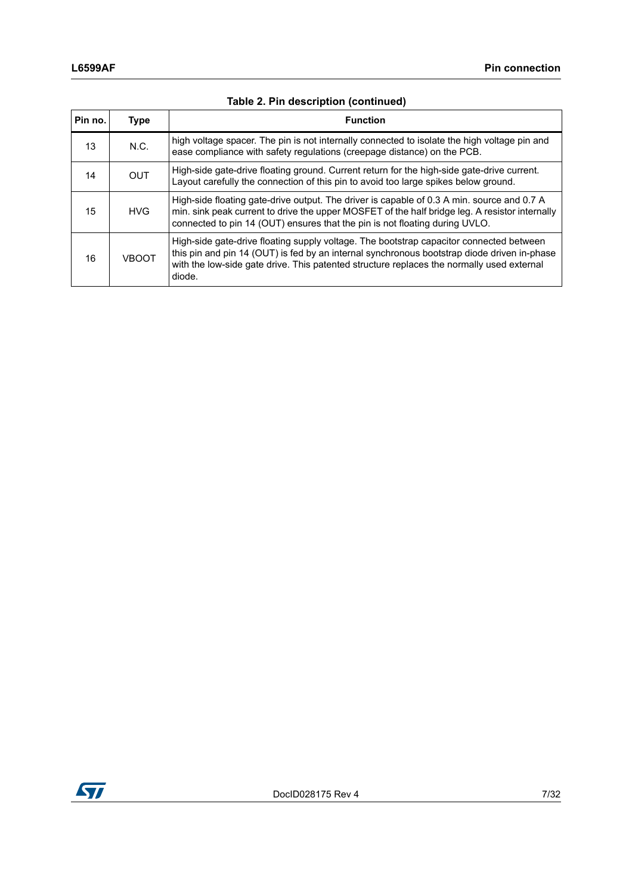| Pin no. | <b>Type</b>  | <b>Function</b>                                                                                                                                                                                                                                                                               |
|---------|--------------|-----------------------------------------------------------------------------------------------------------------------------------------------------------------------------------------------------------------------------------------------------------------------------------------------|
| 13      | N.C.         | high voltage spacer. The pin is not internally connected to isolate the high voltage pin and<br>ease compliance with safety regulations (creepage distance) on the PCB.                                                                                                                       |
| 14      | <b>OUT</b>   | High-side gate-drive floating ground. Current return for the high-side gate-drive current.<br>Layout carefully the connection of this pin to avoid too large spikes below ground.                                                                                                             |
| 15      | <b>HVG</b>   | High-side floating gate-drive output. The driver is capable of 0.3 A min. source and 0.7 A<br>min. sink peak current to drive the upper MOSFET of the half bridge leg. A resistor internally<br>connected to pin 14 (OUT) ensures that the pin is not floating during UVLO.                   |
| 16      | <b>VBOOT</b> | High-side gate-drive floating supply voltage. The bootstrap capacitor connected between<br>this pin and pin 14 (OUT) is fed by an internal synchronous bootstrap diode driven in-phase<br>with the low-side gate drive. This patented structure replaces the normally used external<br>diode. |

## **Table 2. Pin description (continued)**

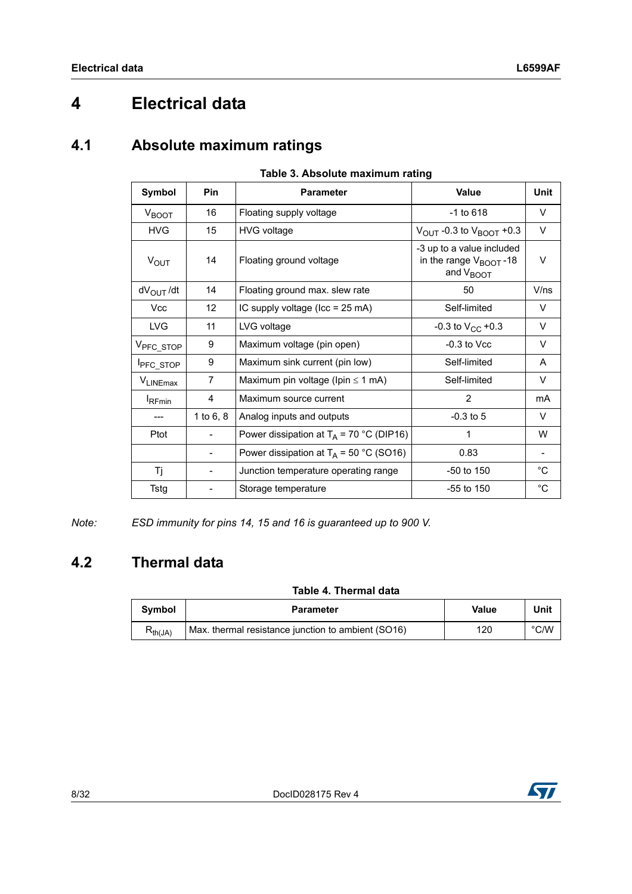# <span id="page-7-0"></span>**4 Electrical data**

# <span id="page-7-1"></span>**4.1 Absolute maximum ratings**

| $1806$ $\sigma$ . Absolute maximum rating |                                            |                                           |                                                                                          |                          |  |  |  |
|-------------------------------------------|--------------------------------------------|-------------------------------------------|------------------------------------------------------------------------------------------|--------------------------|--|--|--|
| Symbol<br>Pin                             |                                            | <b>Parameter</b>                          | <b>Value</b>                                                                             | <b>Unit</b>              |  |  |  |
| $V_{\text{BOOT}}$                         | 16                                         | Floating supply voltage                   | $-1$ to 618                                                                              | V                        |  |  |  |
| <b>HVG</b>                                | 15                                         | <b>HVG voltage</b>                        | $V_{\text{OUT}}$ -0.3 to $V_{\text{BOOT}}$ +0.3                                          | V                        |  |  |  |
| $V_{\text{OUT}}$                          | 14                                         | Floating ground voltage                   | -3 up to a value included<br>in the range V <sub>BOOT</sub> -18<br>and V <sub>BOOT</sub> | V                        |  |  |  |
| $dV_{\text{OUT}}/dt$                      | 14                                         | Floating ground max. slew rate            | 50                                                                                       | V/ns                     |  |  |  |
| <b>Vcc</b>                                | 12                                         | IC supply voltage (Icc = 25 mA)           | Self-limited                                                                             | V                        |  |  |  |
| <b>LVG</b>                                | 11                                         | LVG voltage                               | -0.3 to $V_{CC}$ +0.3                                                                    | V                        |  |  |  |
| V <sub>PFC_STOP</sub>                     | 9                                          | Maximum voltage (pin open)                | $-0.3$ to Vcc                                                                            | V                        |  |  |  |
| <b>I</b> PFC_STOP                         | 9                                          | Maximum sink current (pin low)            | Self-limited                                                                             | A                        |  |  |  |
| VLINEmax                                  | 7                                          | Maximum pin voltage (Ipin $\leq$ 1 mA)    | Self-limited                                                                             | V                        |  |  |  |
| <b>I</b> RFmin                            | 4                                          | Maximum source current                    | $\overline{2}$                                                                           | mA                       |  |  |  |
|                                           | 1 to $6, 8$                                | Analog inputs and outputs                 | $-0.3$ to 5                                                                              | V                        |  |  |  |
| Ptot                                      | Power dissipation at $T_A$ = 70 °C (DIP16) |                                           | 1                                                                                        | W                        |  |  |  |
|                                           |                                            | Power dissipation at $T_A$ = 50 °C (SO16) | 0.83                                                                                     | $\overline{\phantom{a}}$ |  |  |  |
| Τj                                        |                                            | Junction temperature operating range      | $-50$ to 150                                                                             | $^{\circ}$ C             |  |  |  |
| <b>Tstg</b>                               |                                            | Storage temperature                       | $-55$ to 150                                                                             | $^{\circ}$ C             |  |  |  |
|                                           |                                            |                                           |                                                                                          |                          |  |  |  |

### **Table 3. Absolute maximum rating**

*Note: ESD immunity for pins 14, 15 and 16 is guaranteed up to 900 V.*

# <span id="page-7-2"></span>**4.2 Thermal data**

## **Table 4. Thermal data**

| <b>Symbol</b>  | Parameter                                          | Value | Unit          |
|----------------|----------------------------------------------------|-------|---------------|
| <b>Yth(JA)</b> | Max. thermal resistance junction to ambient (SO16) | 120   | $\degree$ C/W |

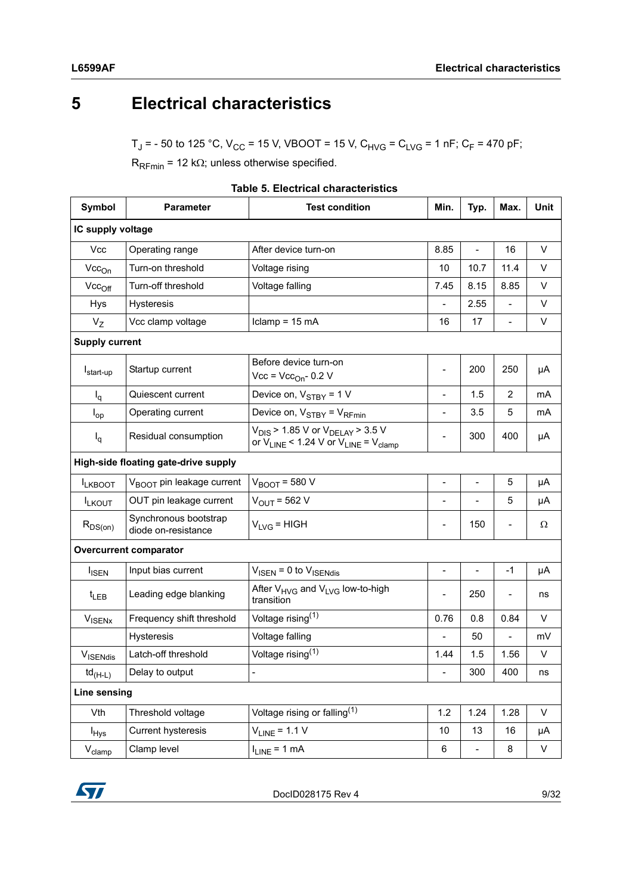# <span id="page-8-0"></span>**5 Electrical characteristics**

 $T_J$  = - 50 to 125 °C,  $V_{CC}$  = 15 V, VBOOT = 15 V, C<sub>HVG</sub> = C<sub>LVG</sub> = 1 nF; C<sub>F</sub> = 470 pF;

 $R_{\text{RFmin}}$  = 12 k $\Omega$ ; unless otherwise specified.

| <b>Symbol</b>                                  | <b>Parameter</b>                             | <b>Test condition</b>                                                                           | Min.                         | Typ.                     | Max.                     | <b>Unit</b>  |
|------------------------------------------------|----------------------------------------------|-------------------------------------------------------------------------------------------------|------------------------------|--------------------------|--------------------------|--------------|
| IC supply voltage                              |                                              |                                                                                                 |                              |                          |                          |              |
| <b>Vcc</b>                                     | Operating range                              | After device turn-on                                                                            | 8.85                         |                          | 16                       | V            |
| $Vec_{On}$                                     | Turn-on threshold                            | Voltage rising                                                                                  | 10                           | 10.7                     | 11.4                     | V            |
| $Vec_{Off}$                                    | Turn-off threshold                           | Voltage falling                                                                                 | 7.45                         | 8.15                     | 8.85                     | $\vee$       |
| <b>Hys</b>                                     | Hysteresis                                   |                                                                                                 |                              | 2.55                     | $\overline{\phantom{0}}$ | V            |
| $V_{Z}$                                        | Vcc clamp voltage                            | Iclamp = $15 \text{ mA}$                                                                        | 16                           | 17                       | $\overline{\phantom{0}}$ | V            |
| <b>Supply current</b>                          |                                              |                                                                                                 |                              |                          |                          |              |
| I <sub>start-up</sub>                          | Startup current                              | Before device turn-on<br>$Vec$ = $Vec_{On}$ - 0.2 V                                             |                              | 200                      | 250                      | μA           |
| $I_q$                                          | Quiescent current                            | Device on, $V_{STBY} = 1 V$                                                                     |                              | 1.5                      | $\overline{2}$           | mA           |
| $I_{op}$                                       | Operating current                            | Device on, $V_{STBY} = V_{RFmin}$                                                               | $\overline{\phantom{a}}$     | 3.5                      | 5                        | mA           |
| $I_q$                                          | Residual consumption                         | $V_{DIS}$ > 1.85 V or $V_{DELAY}$ > 3.5 V<br>or $V_{LINE}$ < 1.24 V or $V_{LINE}$ = $V_{clamp}$ |                              | 300                      | 400                      | μA           |
|                                                | High-side floating gate-drive supply         |                                                                                                 |                              |                          |                          |              |
| <b>ILKBOOT</b>                                 | V <sub>BOOT</sub> pin leakage current        | $V_{\text{BOOT}}$ = 580 V                                                                       | $\overline{\phantom{0}}$     | $\overline{\phantom{a}}$ | 5                        | μA           |
| <b>ILKOUT</b>                                  | OUT pin leakage current                      | $V_{\text{OUT}}$ = 562 V                                                                        | $\overline{\phantom{0}}$     |                          | 5                        | μA           |
| $R_{DS(on)}$                                   | Synchronous bootstrap<br>diode on-resistance | $V_{LVG}$ = HIGH                                                                                |                              | 150                      |                          | Ω            |
|                                                | <b>Overcurrent comparator</b>                |                                                                                                 |                              |                          |                          |              |
| <b>I</b> <sub>ISEN</sub>                       | Input bias current                           | $V_{\text{ISEN}}$ = 0 to $V_{\text{ISENdis}}$                                                   | $\overline{\phantom{0}}$     | $\overline{\phantom{0}}$ | $-1$                     | μA           |
| $t_{LEB}$                                      | Leading edge blanking                        | After $V_{HVG}$ and $V_{LVG}$ low-to-high<br>transition                                         |                              | 250                      |                          | ns           |
| <b>VISENX</b>                                  | Frequency shift threshold                    | Voltage rising $(1)$                                                                            | 0.76                         | 0.8                      | 0.84                     | V            |
|                                                | Hysteresis                                   | Voltage falling                                                                                 |                              | 50                       |                          | mV           |
| VISENdis                                       | Latch-off threshold                          | Voltage rising <sup>(1)</sup>                                                                   | 1.44                         | 1.5                      | 1.56                     | V            |
| $\mathsf{td}_{(\mathsf{H}\text{-}\mathsf{L})}$ | Delay to output                              | $\overline{\phantom{m}}$                                                                        | $\qquad \qquad \blacksquare$ | 300                      | 400                      | ns           |
| <b>Line sensing</b>                            |                                              |                                                                                                 |                              |                          |                          |              |
| Vth                                            | Threshold voltage                            | Voltage rising or falling <sup>(1)</sup>                                                        | 1.2                          | 1.24                     | 1.28                     | $\mathsf{V}$ |
| $I_{Hys}$                                      | Current hysteresis                           | $V_{LINE} = 1.1 V$                                                                              | 10                           | 13                       | 16                       | μA           |
| $V_{\text{clamp}}$                             | Clamp level                                  | $I_{LINE} = 1 mA$                                                                               | 6                            | $\qquad \qquad -$        | 8                        | V            |

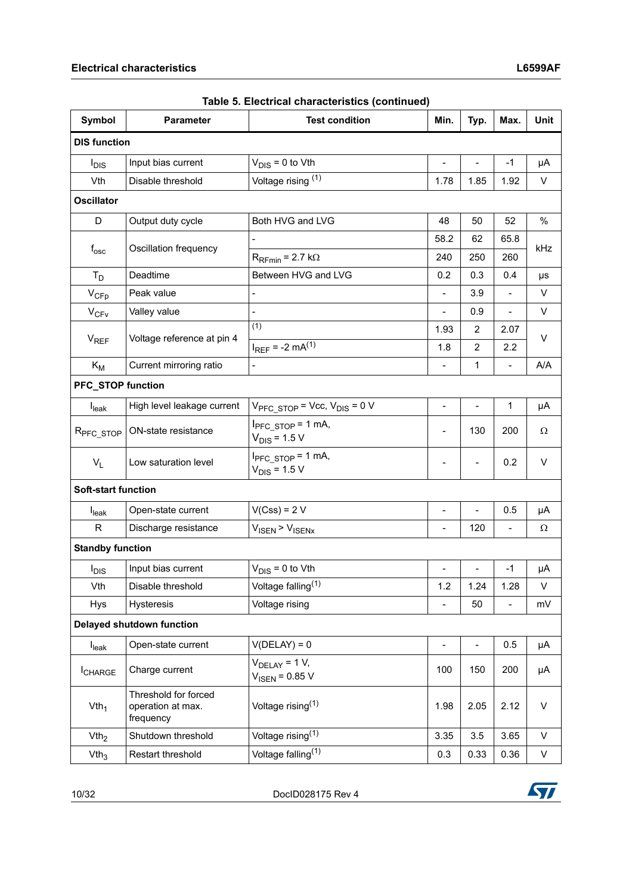| <b>Symbol</b>                    | <b>Parameter</b>                                       | <b>Test condition</b>                                     | Min.                     | Typ.                     | Max.                     | Unit     |
|----------------------------------|--------------------------------------------------------|-----------------------------------------------------------|--------------------------|--------------------------|--------------------------|----------|
| <b>DIS function</b>              |                                                        |                                                           |                          |                          |                          |          |
| $I_{DIS}$                        | Input bias current                                     | $V_{DIS} = 0$ to Vth                                      |                          |                          | $-1$                     | μA       |
| Vth                              | Disable threshold                                      | Voltage rising (1)                                        | 1.78                     | 1.85                     | 1.92                     | V        |
| <b>Oscillator</b>                |                                                        |                                                           |                          |                          |                          |          |
| D                                | Output duty cycle                                      | Both HVG and LVG                                          | 48                       | 50                       | 52                       | $\%$     |
| $f_{\rm osc}$                    | Oscillation frequency                                  |                                                           | 58.2                     | 62                       | 65.8                     | kHz      |
|                                  |                                                        | $R_{\text{RFmin}}$ = 2.7 k $\Omega$                       | 240                      | 250                      | 260                      |          |
| $T_D$                            | Deadtime                                               | Between HVG and LVG                                       | 0.2                      | 0.3                      | 0.4                      | μs       |
| $V_{CFp}$                        | Peak value                                             |                                                           | $\overline{\phantom{0}}$ | 3.9                      | $\blacksquare$           | V        |
| $V_{CFV}$                        | Valley value                                           | $\overline{a}$                                            | $\overline{a}$           | 0.9                      | $\overline{\phantom{a}}$ | V        |
|                                  |                                                        | (1)                                                       | 1.93                     | 2                        | 2.07                     | $\vee$   |
| $V_{REF}$                        | Voltage reference at pin 4                             | $I_{REF} = -2 mA^{(1)}$                                   | 1.8                      | $\overline{2}$           | $2.2\,$                  |          |
| $K_M$                            | Current mirroring ratio                                |                                                           |                          | 1                        |                          | A/A      |
| PFC_STOP function                |                                                        |                                                           |                          |                          |                          |          |
| $I_{\text{leak}}$                | High level leakage current                             | $V_{PFC STOP}$ = Vcc, $V_{DIS}$ = 0 V                     |                          |                          | 1                        | μA       |
| R <sub>PFC_STOP</sub>            | ON-state resistance                                    | $I_{\text{PFC STOP}} = 1 \text{ mA}$<br>$V_{DIS} = 1.5 V$ |                          | 130                      | 200                      | $\Omega$ |
| $V_L$                            | Low saturation level                                   | $I_{PFC STOP} = 1$ mA,<br>$V_{DIS} = 1.5 V$               |                          | $\overline{\phantom{0}}$ | 0.2                      | V        |
| <b>Soft-start function</b>       |                                                        |                                                           |                          |                          |                          |          |
| $I_{\text{leak}}$                | Open-state current                                     | $V(Css) = 2 V$                                            | $\overline{a}$           | $\overline{a}$           | 0.5                      | μA       |
| R                                | Discharge resistance                                   | $V_{\text{ISEN}}$ > $V_{\text{ISENX}}$                    |                          | 120                      | $\overline{\phantom{a}}$ | Ω        |
| <b>Standby function</b>          |                                                        |                                                           |                          |                          |                          |          |
| $I_{DIS}$                        | Input bias current                                     | $V_{DIS} = 0$ to Vth                                      |                          | $\overline{\phantom{0}}$ | $-1$                     | μA       |
| Vth                              | Disable threshold                                      | Voltage falling <sup>(1)</sup>                            | 1.2                      | 1.24                     | 1.28                     | V        |
| Hys                              | Hysteresis                                             | Voltage rising                                            |                          | 50                       |                          | mV       |
| <b>Delayed shutdown function</b> |                                                        |                                                           |                          |                          |                          |          |
| I <sub>leak</sub>                | Open-state current                                     | $V(DELAY) = 0$                                            | $\frac{1}{2}$            | $\overline{\phantom{0}}$ | 0.5                      | μA       |
| <b>I</b> CHARGE                  | Charge current                                         | $V_{\text{DELAY}} = 1 V,$<br>$V_{\text{ISEN}} = 0.85 V$   | 100                      | 150                      | 200                      | μA       |
| Vth <sub>1</sub>                 | Threshold for forced<br>operation at max.<br>frequency | Voltage rising $(1)$                                      | 1.98                     | 2.05                     | 2.12                     | V        |
| Vth <sub>2</sub>                 | Shutdown threshold                                     | Voltage rising <sup>(1)</sup>                             | 3.35                     | 3.5                      | 3.65                     | V        |
| Vth <sub>3</sub>                 | Restart threshold                                      | Voltage falling <sup>(1)</sup>                            |                          | 0.33                     | 0.36                     | V        |

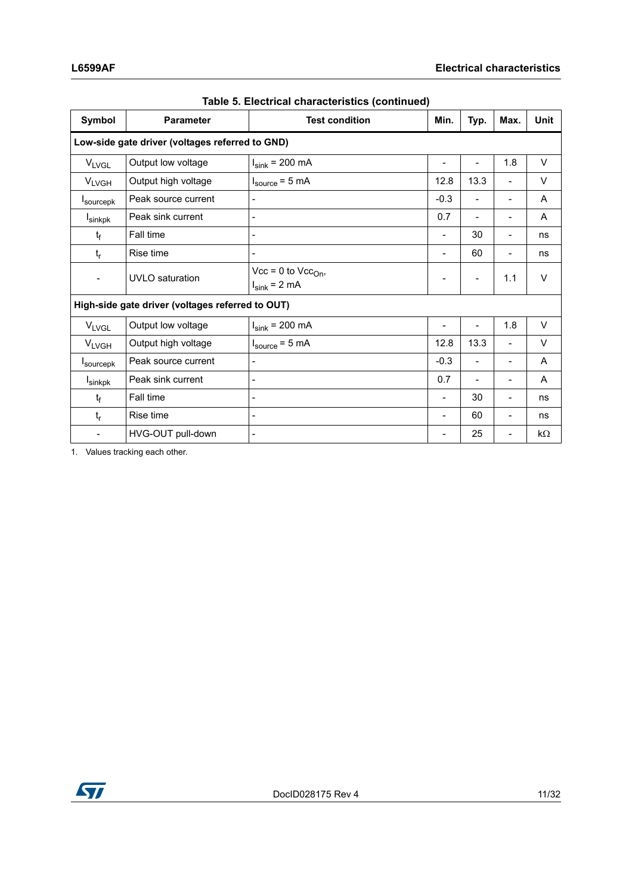| <b>Symbol</b>                                    | <b>Parameter</b>       | <b>Test condition</b>                          | Min.                         | Typ.                         | Max.                         | <b>Unit</b> |
|--------------------------------------------------|------------------------|------------------------------------------------|------------------------------|------------------------------|------------------------------|-------------|
| Low-side gate driver (voltages referred to GND)  |                        |                                                |                              |                              |                              |             |
| <b>VLVGL</b>                                     | Output low voltage     | $I_{sink}$ = 200 mA                            | $\overline{\phantom{a}}$     | $\overline{\phantom{a}}$     | 1.8                          | V           |
| <b>VLVGH</b>                                     | Output high voltage    | $I_{\text{source}} = 5 \text{ mA}$             | 12.8                         | 13.3                         | $\qquad \qquad \blacksquare$ | V           |
| <b>I</b> sourcepk                                | Peak source current    | -                                              | $-0.3$                       | $\overline{\phantom{a}}$     | $\blacksquare$               | A           |
| <b>I</b> sinkpk                                  | Peak sink current      | -                                              | 0.7                          | $\qquad \qquad \blacksquare$ | $\overline{\phantom{a}}$     | A           |
| $t_{\rm f}$                                      | Fall time              | $\overline{a}$                                 | $\blacksquare$               | 30                           | $\overline{\phantom{a}}$     | ns          |
| $t_{r}$                                          | Rise time              |                                                | $\overline{\phantom{0}}$     | 60                           | $\overline{\phantom{a}}$     | ns          |
| $\qquad \qquad \blacksquare$                     | <b>UVLO</b> saturation | $Vcc = 0$ to $Vcc_{On}$ ,<br>$I_{sink} = 2 mA$ | $\qquad \qquad \blacksquare$ | $\overline{\phantom{0}}$     | 1.1                          | $\vee$      |
| High-side gate driver (voltages referred to OUT) |                        |                                                |                              |                              |                              |             |
| <b>VLVGL</b>                                     | Output low voltage     | $I_{\text{sink}}$ = 200 mA                     |                              | $\overline{\phantom{0}}$     | 1.8                          | V           |
| <b>VLVGH</b>                                     | Output high voltage    | $I_{source} = 5 mA$                            | 12.8                         | 13.3                         |                              | $\vee$      |
| <b>I</b> sourcepk                                | Peak source current    |                                                | $-0.3$                       |                              |                              | A           |
| <b>I</b> sinkpk                                  | Peak sink current      |                                                | 0.7                          |                              |                              | A           |
| $t_{\rm f}$                                      | Fall time              |                                                |                              | 30                           |                              | ns          |
| $t_{r}$                                          | Rise time              |                                                |                              | 60                           |                              | ns          |
|                                                  | HVG-OUT pull-down      |                                                |                              | 25                           |                              | $k\Omega$   |

1. Values tracking each other.

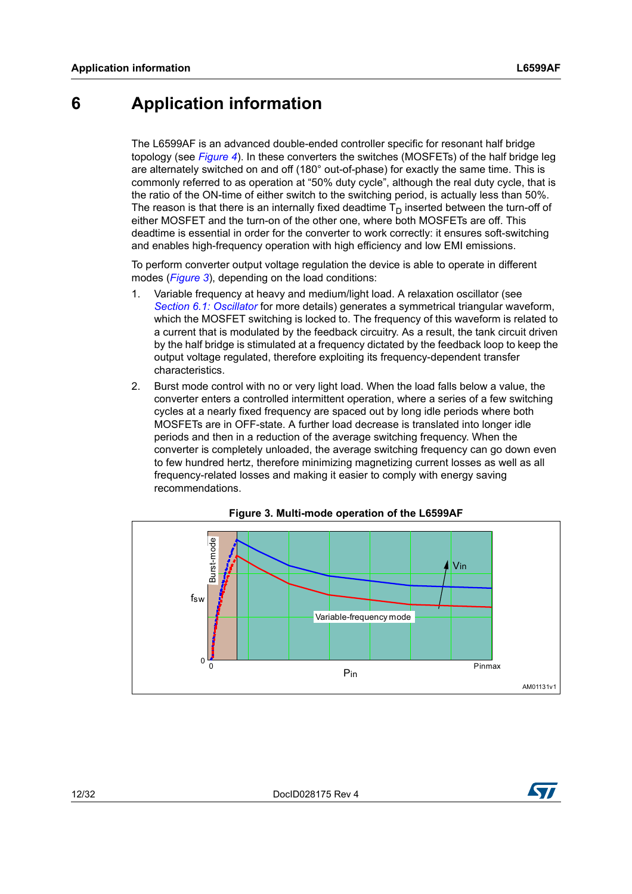# <span id="page-11-0"></span>**6 Application information**

The L6599AF is an advanced double-ended controller specific for resonant half bridge topology (see *[Figure 4](#page-12-1)*). In these converters the switches (MOSFETs) of the half bridge leg are alternately switched on and off (180° out-of-phase) for exactly the same time. This is commonly referred to as operation at "50% duty cycle", although the real duty cycle, that is the ratio of the ON-time of either switch to the switching period, is actually less than 50%. The reason is that there is an internally fixed deadtime  $T_D$  inserted between the turn-off of either MOSFET and the turn-on of the other one, where both MOSFETs are off. This deadtime is essential in order for the converter to work correctly: it ensures soft-switching and enables high-frequency operation with high efficiency and low EMI emissions.

To perform converter output voltage regulation the device is able to operate in different modes (*[Figure 3](#page-11-1)*), depending on the load conditions:

- 1. Variable frequency at heavy and medium/light load. A relaxation oscillator (see *[Section 6.1: Oscillator](#page-12-0)* for more details) generates a symmetrical triangular waveform, which the MOSFET switching is locked to. The frequency of this waveform is related to a current that is modulated by the feedback circuitry. As a result, the tank circuit driven by the half bridge is stimulated at a frequency dictated by the feedback loop to keep the output voltage regulated, therefore exploiting its frequency-dependent transfer characteristics.
- 2. Burst mode control with no or very light load. When the load falls below a value, the converter enters a controlled intermittent operation, where a series of a few switching cycles at a nearly fixed frequency are spaced out by long idle periods where both MOSFETs are in OFF-state. A further load decrease is translated into longer idle periods and then in a reduction of the average switching frequency. When the converter is completely unloaded, the average switching frequency can go down even to few hundred hertz, therefore minimizing magnetizing current losses as well as all frequency-related losses and making it easier to comply with energy saving recommendations.

<span id="page-11-1"></span>



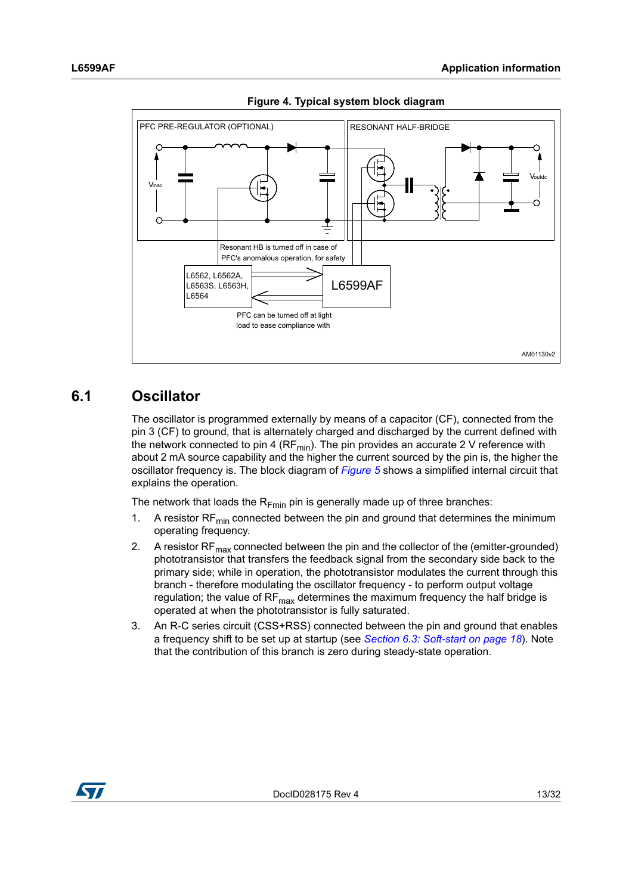<span id="page-12-1"></span>

**Figure 4. Typical system block diagram**

## <span id="page-12-0"></span>**6.1 Oscillator**

The oscillator is programmed externally by means of a capacitor (CF), connected from the pin 3 (CF) to ground, that is alternately charged and discharged by the current defined with the network connected to pin 4 ( $RF_{min}$ ). The pin provides an accurate 2 V reference with about 2 mA source capability and the higher the current sourced by the pin is, the higher the oscillator frequency is. The block diagram of *[Figure 5](#page-13-0)* shows a simplified internal circuit that explains the operation.

The network that loads the  $R_{Fmin}$  pin is generally made up of three branches:

- 1. A resistor  $RF_{min}$  connected between the pin and ground that determines the minimum operating frequency.
- 2. A resistor  $RF_{max}$  connected between the pin and the collector of the (emitter-grounded) phototransistor that transfers the feedback signal from the secondary side back to the primary side; while in operation, the phototransistor modulates the current through this branch - therefore modulating the oscillator frequency - to perform output voltage regulation; the value of  $RF_{max}$  determines the maximum frequency the half bridge is operated at when the phototransistor is fully saturated.
- 3. An R-C series circuit (CSS+RSS) connected between the pin and ground that enables a frequency shift to be set up at startup (see *[Section 6.3: Soft-start on page 18](#page-17-0)*). Note that the contribution of this branch is zero during steady-state operation.

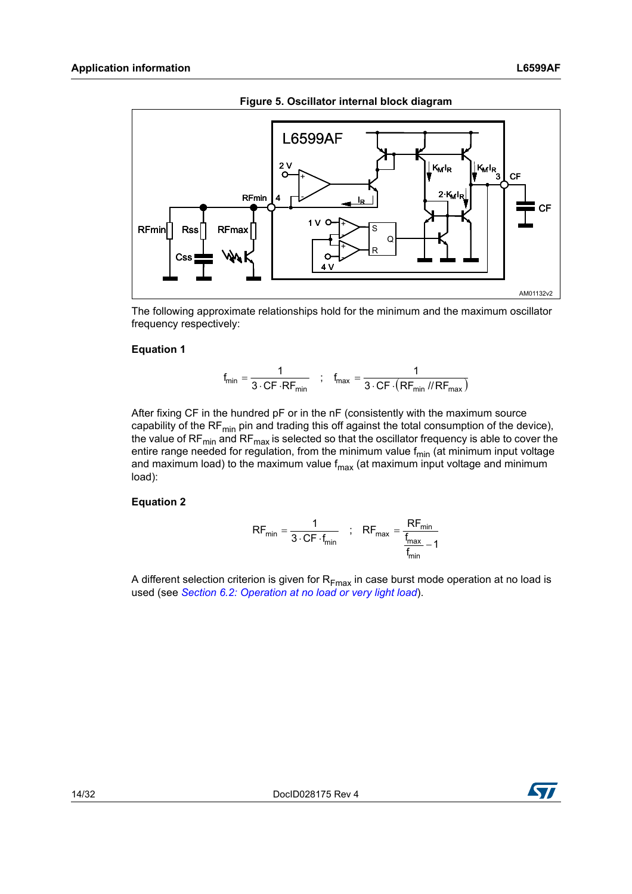<span id="page-13-0"></span>

**Figure 5. Oscillator internal block diagram**

The following approximate relationships hold for the minimum and the maximum oscillator frequency respectively:

### **Equation 1**

$$
f_{min} = \frac{1}{3 \cdot CF \cdot RF_{min}} \quad ; \quad f_{max} = \frac{1}{3 \cdot CF \cdot (RF_{min} / / RF_{max})}
$$

After fixing CF in the hundred pF or in the nF (consistently with the maximum source capability of the RF $_{min}$  pin and trading this off against the total consumption of the device), the value of  $RF_{min}$  and  $RF_{max}$  is selected so that the oscillator frequency is able to cover the entire range needed for regulation, from the minimum value  $f_{min}$  (at minimum input voltage and maximum load) to the maximum value  $f_{\text{max}}$  (at maximum input voltage and minimum load):

### **Equation 2**

$$
RF_{min} = \frac{1}{3 \cdot CF \cdot f_{min}} \quad ; \quad RF_{max} = \frac{RF_{min}}{f_{max} - 1}
$$

A different selection criterion is given for  $R_{Fmax}$  in case burst mode operation at no load is used (see *[Section 6.2: Operation at no load or very light load](#page-14-0)*).

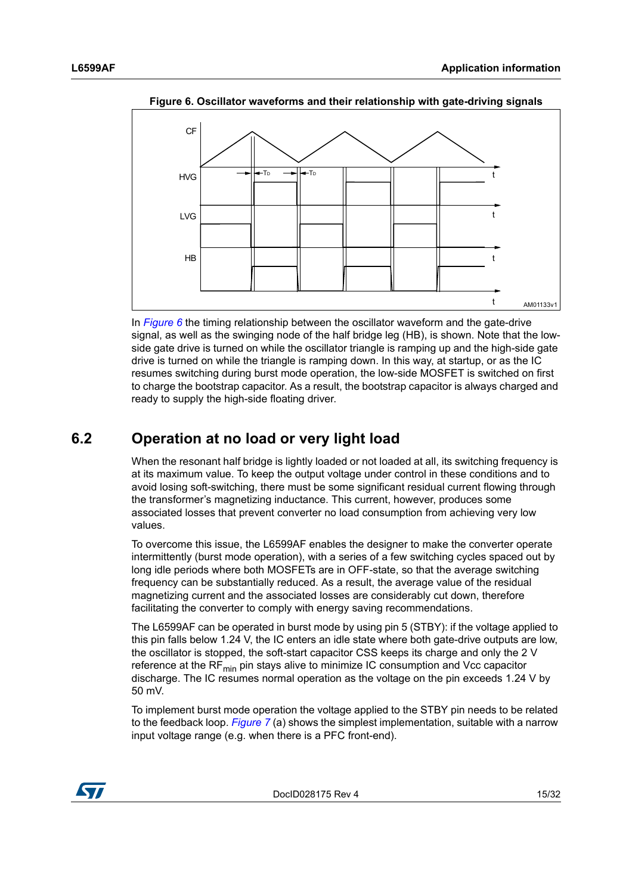<span id="page-14-1"></span>

**Figure 6. Oscillator waveforms and their relationship with gate-driving signals**

In *[Figure 6](#page-14-1)* the timing relationship between the oscillator waveform and the gate-drive signal, as well as the swinging node of the half bridge leg (HB), is shown. Note that the lowside gate drive is turned on while the oscillator triangle is ramping up and the high-side gate drive is turned on while the triangle is ramping down. In this way, at startup, or as the IC resumes switching during burst mode operation, the low-side MOSFET is switched on first to charge the bootstrap capacitor. As a result, the bootstrap capacitor is always charged and ready to supply the high-side floating driver.

# <span id="page-14-0"></span>**6.2 Operation at no load or very light load**

When the resonant half bridge is lightly loaded or not loaded at all, its switching frequency is at its maximum value. To keep the output voltage under control in these conditions and to avoid losing soft-switching, there must be some significant residual current flowing through the transformer's magnetizing inductance. This current, however, produces some associated losses that prevent converter no load consumption from achieving very low values.

To overcome this issue, the L6599AF enables the designer to make the converter operate intermittently (burst mode operation), with a series of a few switching cycles spaced out by long idle periods where both MOSFETs are in OFF-state, so that the average switching frequency can be substantially reduced. As a result, the average value of the residual magnetizing current and the associated losses are considerably cut down, therefore facilitating the converter to comply with energy saving recommendations.

The L6599AF can be operated in burst mode by using pin 5 (STBY): if the voltage applied to this pin falls below 1.24 V, the IC enters an idle state where both gate-drive outputs are low, the oscillator is stopped, the soft-start capacitor CSS keeps its charge and only the 2 V reference at the  $RF<sub>min</sub>$  pin stays alive to minimize IC consumption and Vcc capacitor discharge. The IC resumes normal operation as the voltage on the pin exceeds 1.24 V by 50 mV.

To implement burst mode operation the voltage applied to the STBY pin needs to be related to the feedback loop. *[Figure 7](#page-15-0)* (a) shows the simplest implementation, suitable with a narrow input voltage range (e.g. when there is a PFC front-end).

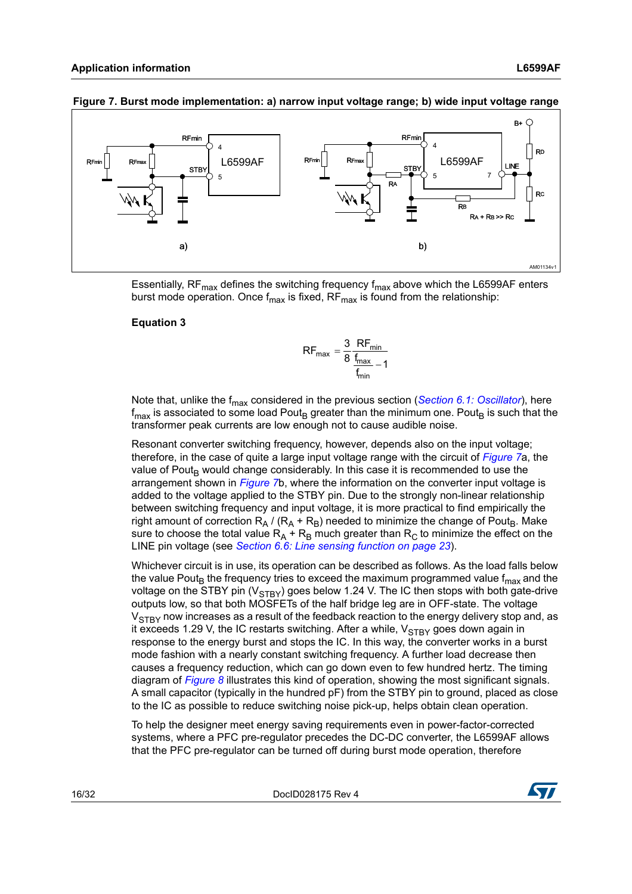

### <span id="page-15-0"></span>**Figure 7. Burst mode implementation: a) narrow input voltage range; b) wide input voltage range**

Essentially,  $RF_{max}$  defines the switching frequency  $f_{max}$  above which the L6599AF enters burst mode operation. Once  $f_{max}$  is fixed, RF $_{max}$  is found from the relationship:

### **Equation 3**

$$
RF_{\text{max}} = \frac{3}{8} \frac{RF_{\text{min}}}{\frac{f_{\text{max}}}{f_{\text{min}}} - 1}
$$

Note that, unlike the f<sub>max</sub> considered in the previous section ([Section 6.1: Oscillator](#page-12-0)), here  $f_{\text{max}}$  is associated to some load Pout<sub>B</sub> greater than the minimum one. Pout<sub>B</sub> is such that the transformer peak currents are low enough not to cause audible noise.

Resonant converter switching frequency, however, depends also on the input voltage; therefore, in the case of quite a large input voltage range with the circuit of *[Figure 7](#page-15-0)*a, the value of Pout<sub>B</sub> would change considerably. In this case it is recommended to use the arrangement shown in *[Figure 7](#page-15-0)*b, where the information on the converter input voltage is added to the voltage applied to the STBY pin. Due to the strongly non-linear relationship between switching frequency and input voltage, it is more practical to find empirically the right amount of correction  $R_A / (R_A + R_B)$  needed to minimize the change of Pout<sub>B</sub>. Make sure to choose the total value  $R_A$  +  $R_B$  much greater than  $R_C$  to minimize the effect on the LINE pin voltage (see *[Section 6.6: Line sensing function on page 23](#page-22-1)*).

Whichever circuit is in use, its operation can be described as follows. As the load falls below the value Pout<sub>B</sub> the frequency tries to exceed the maximum programmed value  $f_{\text{max}}$  and the voltage on the STBY pin ( $V_{STBY}$ ) goes below 1.24 V. The IC then stops with both gate-drive outputs low, so that both MOSFETs of the half bridge leg are in OFF-state. The voltage  $V<sub>STRY</sub>$  now increases as a result of the feedback reaction to the energy delivery stop and, as it exceeds 1.29 V, the IC restarts switching. After a while,  $V_{STBY}$  goes down again in response to the energy burst and stops the IC. In this way, the converter works in a burst mode fashion with a nearly constant switching frequency. A further load decrease then causes a frequency reduction, which can go down even to few hundred hertz. The timing diagram of *[Figure 8](#page-16-0)* illustrates this kind of operation, showing the most significant signals. A small capacitor (typically in the hundred pF) from the STBY pin to ground, placed as close to the IC as possible to reduce switching noise pick-up, helps obtain clean operation.

To help the designer meet energy saving requirements even in power-factor-corrected systems, where a PFC pre-regulator precedes the DC-DC converter, the L6599AF allows that the PFC pre-regulator can be turned off during burst mode operation, therefore

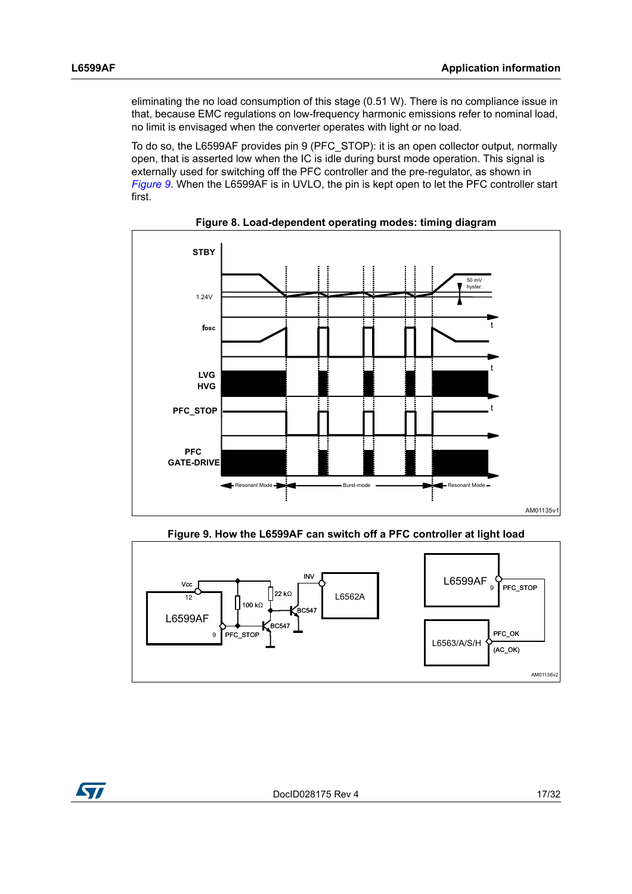eliminating the no load consumption of this stage (0.51 W). There is no compliance issue in that, because EMC regulations on low-frequency harmonic emissions refer to nominal load, no limit is envisaged when the converter operates with light or no load.

To do so, the L6599AF provides pin 9 (PFC\_STOP): it is an open collector output, normally open, that is asserted low when the IC is idle during burst mode operation. This signal is externally used for switching off the PFC controller and the pre-regulator, as shown in *[Figure 9](#page-16-1)*. When the L6599AF is in UVLO, the pin is kept open to let the PFC controller start first.

<span id="page-16-0"></span>

**Figure 8. Load-dependent operating modes: timing diagram**

**Figure 9. How the L6599AF can switch off a PFC controller at light load**

<span id="page-16-1"></span>

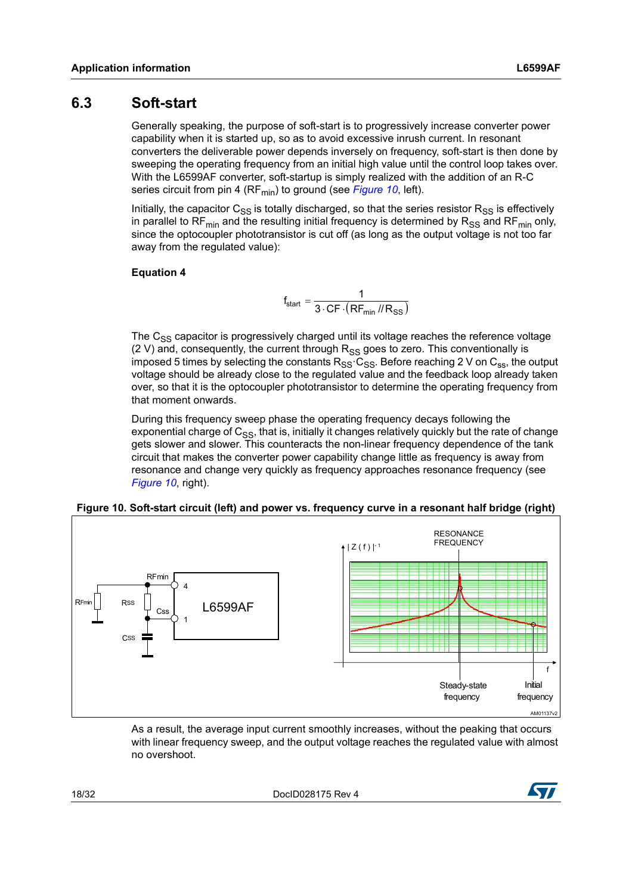## <span id="page-17-0"></span>**6.3 Soft-start**

Generally speaking, the purpose of soft-start is to progressively increase converter power capability when it is started up, so as to avoid excessive inrush current. In resonant converters the deliverable power depends inversely on frequency, soft-start is then done by sweeping the operating frequency from an initial high value until the control loop takes over. With the L6599AF converter, soft-startup is simply realized with the addition of an R-C series circuit from pin 4 (RF<sub>min</sub>) to ground (see *[Figure 10](#page-17-1)*, left).

Initially, the capacitor  $C_{SS}$  is totally discharged, so that the series resistor  $R_{SS}$  is effectively in parallel to RF<sub>min</sub> and the resulting initial frequency is determined by  $R_{SS}$  and RF<sub>min</sub> only, since the optocoupler phototransistor is cut off (as long as the output voltage is not too far away from the regulated value):

### **Equation 4**

$$
f_{start} = \frac{1}{3 \cdot CF \cdot (RF_{min} / / R_{SS})}
$$

The  $C_{SS}$  capacitor is progressively charged until its voltage reaches the reference voltage (2 V) and, consequently, the current through  $R_{SS}$  goes to zero. This conventionally is imposed 5 times by selecting the constants  $R_{SS}$   $C_{SS}$ . Before reaching 2 V on  $C_{SS}$ , the output voltage should be already close to the regulated value and the feedback loop already taken over, so that it is the optocoupler phototransistor to determine the operating frequency from that moment onwards.

During this frequency sweep phase the operating frequency decays following the exponential charge of  $C_{SS}$ , that is, initially it changes relatively quickly but the rate of change gets slower and slower. This counteracts the non-linear frequency dependence of the tank circuit that makes the converter power capability change little as frequency is away from resonance and change very quickly as frequency approaches resonance frequency (see *[Figure 10](#page-17-1)*, right).

### <span id="page-17-1"></span>**Figure 10. Soft-start circuit (left) and power vs. frequency curve in a resonant half bridge (right)**



As a result, the average input current smoothly increases, without the peaking that occurs with linear frequency sweep, and the output voltage reaches the regulated value with almost no overshoot.

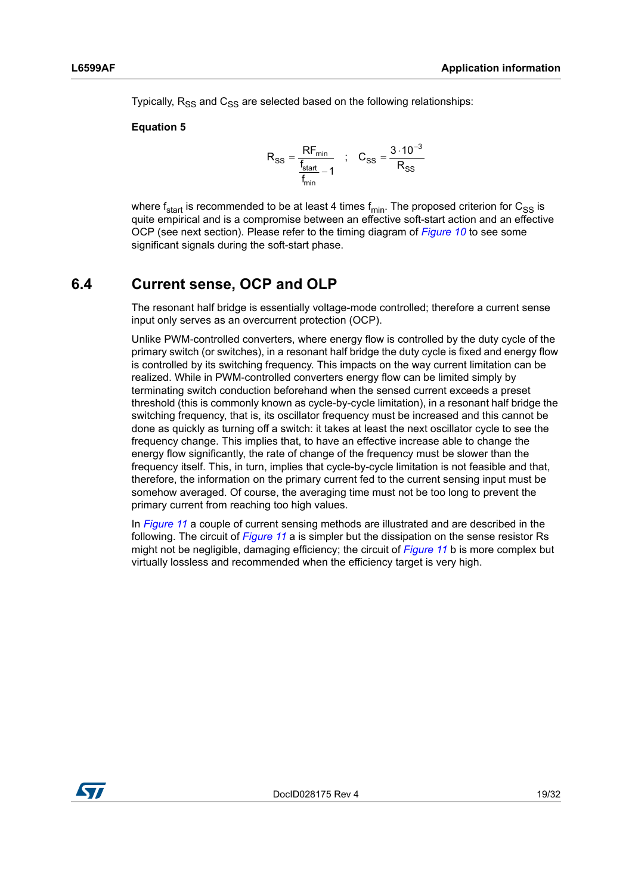Typically,  $R_{SS}$  and  $C_{SS}$  are selected based on the following relationships:

### **Equation 5**

$$
R_{SS} = \frac{RF_{min}}{\frac{f_{start}}{f_{min}} - 1} \quad ; \quad C_{SS} = \frac{3 \cdot 10^{-3}}{R_{SS}}
$$

where  $f_{start}$  is recommended to be at least 4 times  $f_{min}$ . The proposed criterion for  $C_{SS}$  is quite empirical and is a compromise between an effective soft-start action and an effective OCP (see next section). Please refer to the timing diagram of *[Figure 10](#page-17-1)* to see some significant signals during the soft-start phase.

# <span id="page-18-0"></span>**6.4 Current sense, OCP and OLP**

The resonant half bridge is essentially voltage-mode controlled; therefore a current sense input only serves as an overcurrent protection (OCP).

Unlike PWM-controlled converters, where energy flow is controlled by the duty cycle of the primary switch (or switches), in a resonant half bridge the duty cycle is fixed and energy flow is controlled by its switching frequency. This impacts on the way current limitation can be realized. While in PWM-controlled converters energy flow can be limited simply by terminating switch conduction beforehand when the sensed current exceeds a preset threshold (this is commonly known as cycle-by-cycle limitation), in a resonant half bridge the switching frequency, that is, its oscillator frequency must be increased and this cannot be done as quickly as turning off a switch: it takes at least the next oscillator cycle to see the frequency change. This implies that, to have an effective increase able to change the energy flow significantly, the rate of change of the frequency must be slower than the frequency itself. This, in turn, implies that cycle-by-cycle limitation is not feasible and that, therefore, the information on the primary current fed to the current sensing input must be somehow averaged. Of course, the averaging time must not be too long to prevent the primary current from reaching too high values.

In *[Figure 11](#page-19-0)* a couple of current sensing methods are illustrated and are described in the following. The circuit of *[Figure 11](#page-19-0)* a is simpler but the dissipation on the sense resistor Rs might not be negligible, damaging efficiency; the circuit of *[Figure 11](#page-19-0)* b is more complex but virtually lossless and recommended when the efficiency target is very high.

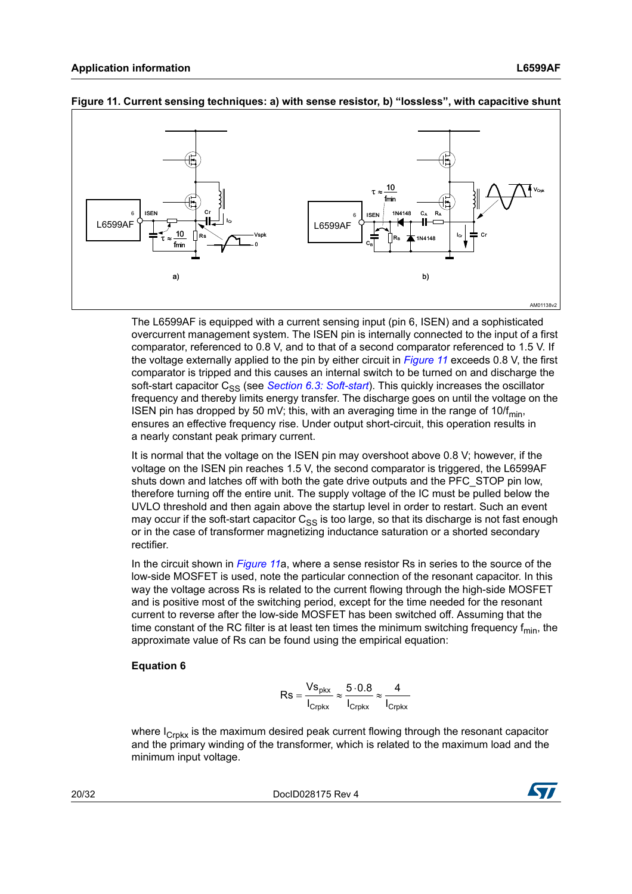

#### <span id="page-19-0"></span>**Figure 11. Current sensing techniques: a) with sense resistor, b) "lossless", with capacitive shunt**

The L6599AF is equipped with a current sensing input (pin 6, ISEN) and a sophisticated overcurrent management system. The ISEN pin is internally connected to the input of a first comparator, referenced to 0.8 V, and to that of a second comparator referenced to 1.5 V. If the voltage externally applied to the pin by either circuit in *[Figure 11](#page-19-0)* exceeds 0.8 V, the first comparator is tripped and this causes an internal switch to be turned on and discharge the soft-start capacitor C<sub>SS</sub> (see *[Section 6.3: Soft-start](#page-17-0)*). This quickly increases the oscillator frequency and thereby limits energy transfer. The discharge goes on until the voltage on the ISEN pin has dropped by 50 mV; this, with an averaging time in the range of 10/ $f_{min}$ , ensures an effective frequency rise. Under output short-circuit, this operation results in a nearly constant peak primary current.

It is normal that the voltage on the ISEN pin may overshoot above 0.8 V; however, if the voltage on the ISEN pin reaches 1.5 V, the second comparator is triggered, the L6599AF shuts down and latches off with both the gate drive outputs and the PFC\_STOP pin low, therefore turning off the entire unit. The supply voltage of the IC must be pulled below the UVLO threshold and then again above the startup level in order to restart. Such an event may occur if the soft-start capacitor  $C_{SS}$  is too large, so that its discharge is not fast enough or in the case of transformer magnetizing inductance saturation or a shorted secondary rectifier.

In the circuit shown in *[Figure 11](#page-19-0)*a, where a sense resistor Rs in series to the source of the low-side MOSFET is used, note the particular connection of the resonant capacitor. In this way the voltage across Rs is related to the current flowing through the high-side MOSFET and is positive most of the switching period, except for the time needed for the resonant current to reverse after the low-side MOSFET has been switched off. Assuming that the time constant of the RC filter is at least ten times the minimum switching frequency  $f_{min}$ , the approximate value of Rs can be found using the empirical equation:

### **Equation 6**

$$
Rs = \frac{Vs_{\text{pkx}}}{I_{\text{Crpkx}}} \approx \frac{5 \cdot 0.8}{I_{\text{Crpkx}}} \approx \frac{4}{I_{\text{Crpkx}}}
$$

where  $I_{CrBtx}$  is the maximum desired peak current flowing through the resonant capacitor and the primary winding of the transformer, which is related to the maximum load and the minimum input voltage.

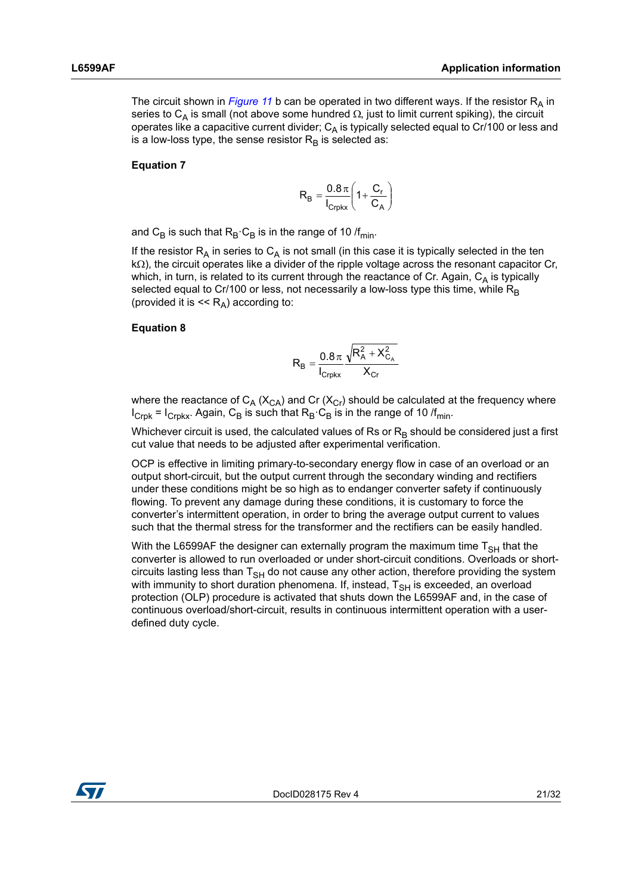The circuit shown in *[Figure 11](#page-19-0)* b can be operated in two different ways. If the resistor  $R_A$  in series to C<sub>A</sub> is small (not above some hundred  $\Omega$ , just to limit current spiking), the circuit operates like a capacitive current divider;  $C_A$  is typically selected equal to Cr/100 or less and is a low-loss type, the sense resistor  $R_B$  is selected as:

#### **Equation 7**

$$
R_B = \frac{0.8 \pi}{I_{Crpkx}} \left( 1 + \frac{C_r}{C_A} \right)
$$

and C<sub>B</sub> is such that  $R_B \cdot C_B$  is in the range of 10 /f<sub>min</sub>.

If the resistor  $R_A$  in series to  $C_A$  is not small (in this case it is typically selected in the ten  $k\Omega$ ), the circuit operates like a divider of the ripple voltage across the resonant capacitor Cr, which, in turn, is related to its current through the reactance of Cr. Again,  $C_A$  is typically selected equal to Cr/100 or less, not necessarily a low-loss type this time, while  $R_B$ (provided it is  $<< R_A$ ) according to:

#### **Equation 8**

$$
\boldsymbol{R}_{\text{B}} = \frac{0.8\,\pi}{I_{\text{Crpkx}}} \frac{\sqrt{R_{\text{A}}^2 + X_{\text{C}_\text{A}}^2}}{X_{\text{Cr}}}
$$

where the reactance of  $C_A$  ( $X_{CA}$ ) and Cr ( $X_{Cr}$ ) should be calculated at the frequency where  $I_{Crpk}$  =  $I_{Crpkx}$ . Again, C<sub>B</sub> is such that  $R_B \cdot C_B$  is in the range of 10 /f<sub>min</sub>.

Whichever circuit is used, the calculated values of Rs or  $R_B$  should be considered just a first cut value that needs to be adjusted after experimental verification.

OCP is effective in limiting primary-to-secondary energy flow in case of an overload or an output short-circuit, but the output current through the secondary winding and rectifiers under these conditions might be so high as to endanger converter safety if continuously flowing. To prevent any damage during these conditions, it is customary to force the converter's intermittent operation, in order to bring the average output current to values such that the thermal stress for the transformer and the rectifiers can be easily handled.

With the L6599AF the designer can externally program the maximum time  $T<sub>SH</sub>$  that the converter is allowed to run overloaded or under short-circuit conditions. Overloads or shortcircuits lasting less than  $T<sub>SH</sub>$  do not cause any other action, therefore providing the system with immunity to short duration phenomena. If, instead,  $T<sub>SH</sub>$  is exceeded, an overload protection (OLP) procedure is activated that shuts down the L6599AF and, in the case of continuous overload/short-circuit, results in continuous intermittent operation with a userdefined duty cycle.

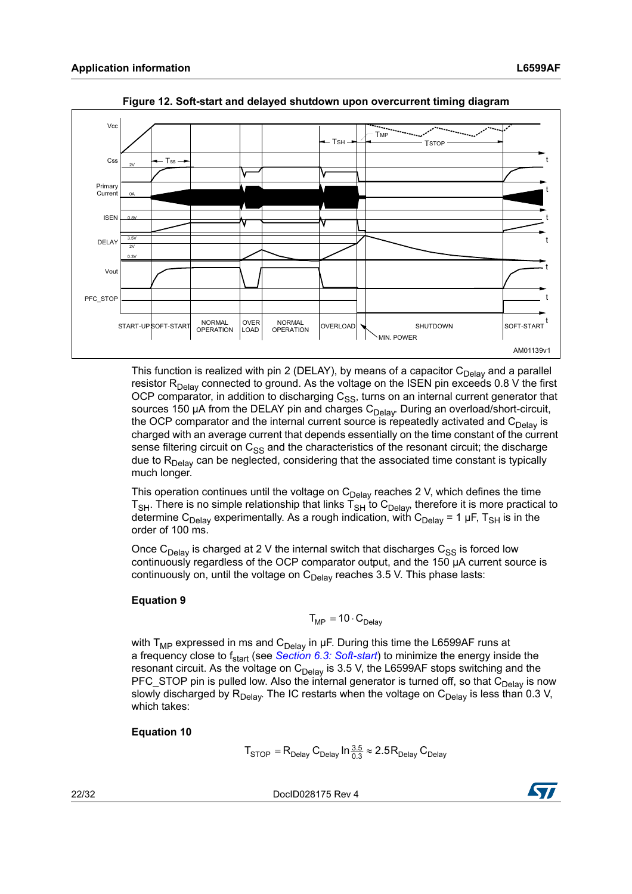<span id="page-21-0"></span>

**Figure 12. Soft-start and delayed shutdown upon overcurrent timing diagram**

This function is realized with pin 2 (DELAY), by means of a capacitor  $C_{\text{Delay}}$  and a parallel resistor  $R_{Delay}$  connected to ground. As the voltage on the ISEN pin exceeds 0.8 V the first OCP comparator, in addition to discharging  $C_{SS}$ , turns on an internal current generator that sources 150 µA from the DELAY pin and charges  $C_{Delay}$ . During an overload/short-circuit, the OCP comparator and the internal current source is repeatedly activated and  $C_{\text{Delay}}$  is charged with an average current that depends essentially on the time constant of the current sense filtering circuit on  $C_{SS}$  and the characteristics of the resonant circuit; the discharge due to  $R_{Delay}$  can be neglected, considering that the associated time constant is typically much longer.

This operation continues until the voltage on  $C_{Delay}$  reaches 2 V, which defines the time  $T<sub>SH</sub>$ . There is no simple relationship that links  $T<sub>SH</sub>$  to  $C<sub>Delay</sub>$ , therefore it is more practical to determine C<sub>Delay</sub> experimentally. As a rough indication, with C<sub>Delay</sub> = 1 µF, T<sub>SH</sub> is in the order of 100 ms.

Once C<sub>Delay</sub> is charged at 2 V the internal switch that discharges C<sub>SS</sub> is forced low continuously regardless of the OCP comparator output, and the 150 µA current source is continuously on, until the voltage on  $C_{Delay}$  reaches 3.5 V. This phase lasts:

### **Equation 9**

$$
T_{MP} = 10 \cdot C_{Delay}
$$

with  $T_{MP}$  expressed in ms and  $C_{Delay}$  in µF. During this time the L6599AF runs at a frequency close to f<sub>start</sub> (see *[Section 6.3: Soft-start](#page-17-0)*) to minimize the energy inside the resonant circuit. As the voltage on  $C_{Delay}$  is 3.5 V, the L6599AF stops switching and the PFC\_STOP pin is pulled low. Also the internal generator is turned off, so that  $C_{Delay}$  is now slowly discharged by  $R_{Delay}$ . The IC restarts when the voltage on  $C_{Delay}$  is less than 0.3 V, which takes:

### **Equation 10**

 ${\sf T}_{\sf STOP}={\sf R}_{\sf Delay}\, {\sf C}_{\sf Delay}\ln\frac{3.5}{0.3}\approx 2.5{\sf R}_{\sf Delay}\, {\sf C}_{\sf Delay}$ 

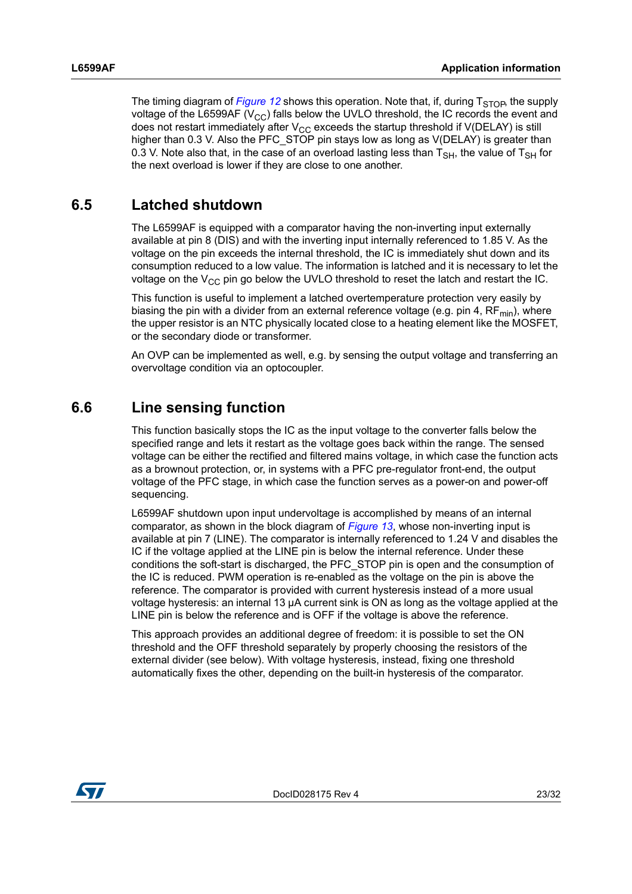The timing diagram of *[Figure 12](#page-21-0)* shows this operation. Note that, if, during  $T_{STOB}$ , the supply voltage of the L6599AF ( $V_{\text{CC}}$ ) falls below the UVLO threshold, the IC records the event and does not restart immediately after  $V_{CC}$  exceeds the startup threshold if  $V(DELAY)$  is still higher than 0.3 V. Also the PFC STOP pin stays low as long as V(DELAY) is greater than 0.3 V. Note also that, in the case of an overload lasting less than  $T_{\rm SH}$ , the value of  $T_{\rm SH}$  for the next overload is lower if they are close to one another.

## <span id="page-22-0"></span>**6.5 Latched shutdown**

The L6599AF is equipped with a comparator having the non-inverting input externally available at pin 8 (DIS) and with the inverting input internally referenced to 1.85 V. As the voltage on the pin exceeds the internal threshold, the IC is immediately shut down and its consumption reduced to a low value. The information is latched and it is necessary to let the voltage on the  $V_{CC}$  pin go below the UVLO threshold to reset the latch and restart the IC.

This function is useful to implement a latched overtemperature protection very easily by biasing the pin with a divider from an external reference voltage (e.g. pin 4,  $RF_{min}$ ), where the upper resistor is an NTC physically located close to a heating element like the MOSFET, or the secondary diode or transformer.

An OVP can be implemented as well, e.g. by sensing the output voltage and transferring an overvoltage condition via an optocoupler.

## <span id="page-22-1"></span>**6.6 Line sensing function**

This function basically stops the IC as the input voltage to the converter falls below the specified range and lets it restart as the voltage goes back within the range. The sensed voltage can be either the rectified and filtered mains voltage, in which case the function acts as a brownout protection, or, in systems with a PFC pre-regulator front-end, the output voltage of the PFC stage, in which case the function serves as a power-on and power-off sequencing.

L6599AF shutdown upon input undervoltage is accomplished by means of an internal comparator, as shown in the block diagram of *[Figure 13](#page-23-0)*, whose non-inverting input is available at pin 7 (LINE). The comparator is internally referenced to 1.24 V and disables the IC if the voltage applied at the LINE pin is below the internal reference. Under these conditions the soft-start is discharged, the PFC\_STOP pin is open and the consumption of the IC is reduced. PWM operation is re-enabled as the voltage on the pin is above the reference. The comparator is provided with current hysteresis instead of a more usual voltage hysteresis: an internal 13 µA current sink is ON as long as the voltage applied at the LINE pin is below the reference and is OFF if the voltage is above the reference.

This approach provides an additional degree of freedom: it is possible to set the ON threshold and the OFF threshold separately by properly choosing the resistors of the external divider (see below). With voltage hysteresis, instead, fixing one threshold automatically fixes the other, depending on the built-in hysteresis of the comparator.

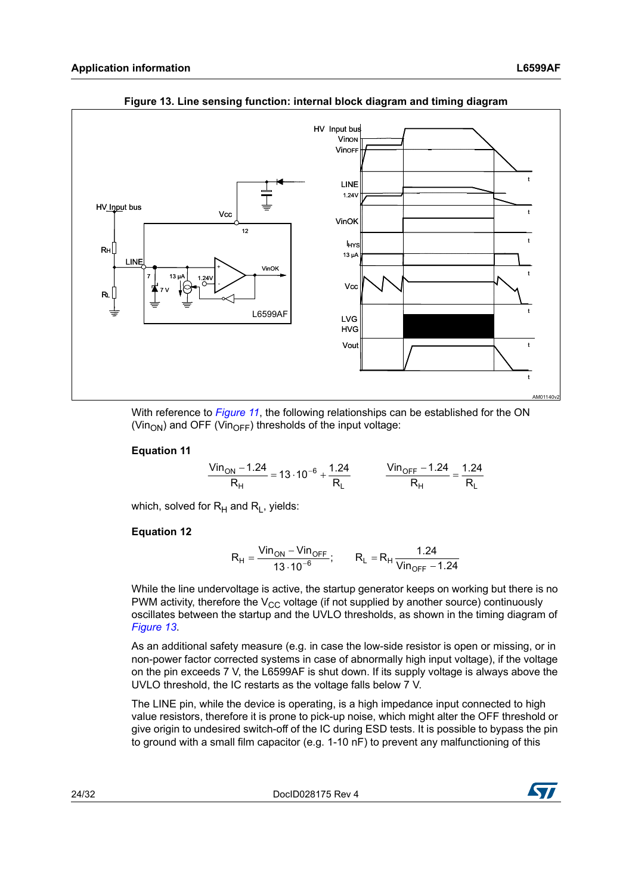<span id="page-23-0"></span>

**Figure 13. Line sensing function: internal block diagram and timing diagram**

With reference to *[Figure 11](#page-19-0)*, the following relationships can be established for the ON (Vin<sub>ON</sub>) and OFF (Vin<sub>OFF</sub>) thresholds of the input voltage:

### **Equation 11**

$$
\frac{\text{ Vin}_{\text{ON}} - 1.24}{R_H} = 13 \cdot 10^{-6} + \frac{1.24}{R_L} \qquad \frac{\text{ Vin}_{\text{OFF}} - 1.24}{R_H} = \frac{1.24}{R_L}
$$

which, solved for  $R_H$  and  $R_L$ , yields:

### **Equation 12**

$$
R_{H} = \frac{Vin_{ON} - Vin_{OFF}}{13 \cdot 10^{-6}}; \qquad R_{L} = R_{H} \frac{1.24}{Vin_{OFF} - 1.24}
$$

While the line undervoltage is active, the startup generator keeps on working but there is no PWM activity, therefore the  $V_{CC}$  voltage (if not supplied by another source) continuously oscillates between the startup and the UVLO thresholds, as shown in the timing diagram of *[Figure 13](#page-23-0)*.

As an additional safety measure (e.g. in case the low-side resistor is open or missing, or in non-power factor corrected systems in case of abnormally high input voltage), if the voltage on the pin exceeds 7 V, the L6599AF is shut down. If its supply voltage is always above the UVLO threshold, the IC restarts as the voltage falls below 7 V.

The LINE pin, while the device is operating, is a high impedance input connected to high value resistors, therefore it is prone to pick-up noise, which might alter the OFF threshold or give origin to undesired switch-off of the IC during ESD tests. It is possible to bypass the pin to ground with a small film capacitor (e.g. 1-10 nF) to prevent any malfunctioning of this

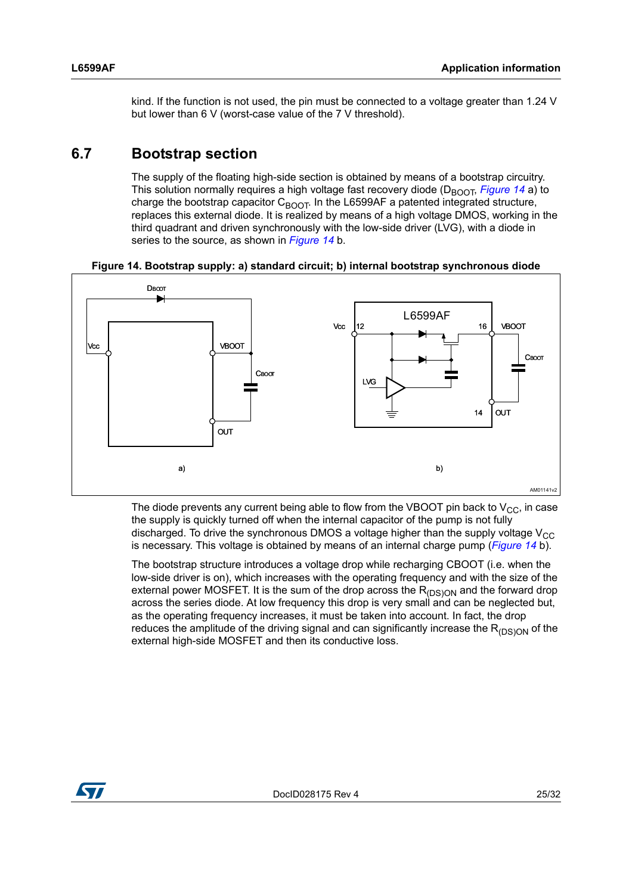kind. If the function is not used, the pin must be connected to a voltage greater than 1.24 V but lower than 6 V (worst-case value of the 7 V threshold).

## <span id="page-24-0"></span>**6.7 Bootstrap section**

The supply of the floating high-side section is obtained by means of a bootstrap circuitry. This solution normally requires a high voltage fast recovery diode (D<sub>BOOT</sub>, *[Figure 14](#page-24-1)* a) to charge the bootstrap capacitor  $C_{\text{BOOT}}$ . In the L6599AF a patented integrated structure, replaces this external diode. It is realized by means of a high voltage DMOS, working in the third quadrant and driven synchronously with the low-side driver (LVG), with a diode in series to the source, as shown in *[Figure 14](#page-24-1)* b.

**Figure 14. Bootstrap supply: a) standard circuit; b) internal bootstrap synchronous diode** 

<span id="page-24-1"></span>

The diode prevents any current being able to flow from the VBOOT pin back to  $V_{CC}$ , in case the supply is quickly turned off when the internal capacitor of the pump is not fully discharged. To drive the synchronous DMOS a voltage higher than the supply voltage  $V_{CC}$ is necessary. This voltage is obtained by means of an internal charge pump (*[Figure 14](#page-24-1)* b).

The bootstrap structure introduces a voltage drop while recharging CBOOT (i.e. when the low-side driver is on), which increases with the operating frequency and with the size of the external power MOSFET. It is the sum of the drop across the  $R_{(DS)ON}$  and the forward drop across the series diode. At low frequency this drop is very small and can be neglected but, as the operating frequency increases, it must be taken into account. In fact, the drop reduces the amplitude of the driving signal and can significantly increase the  $R_{(DS)ON}$  of the external high-side MOSFET and then its conductive loss.

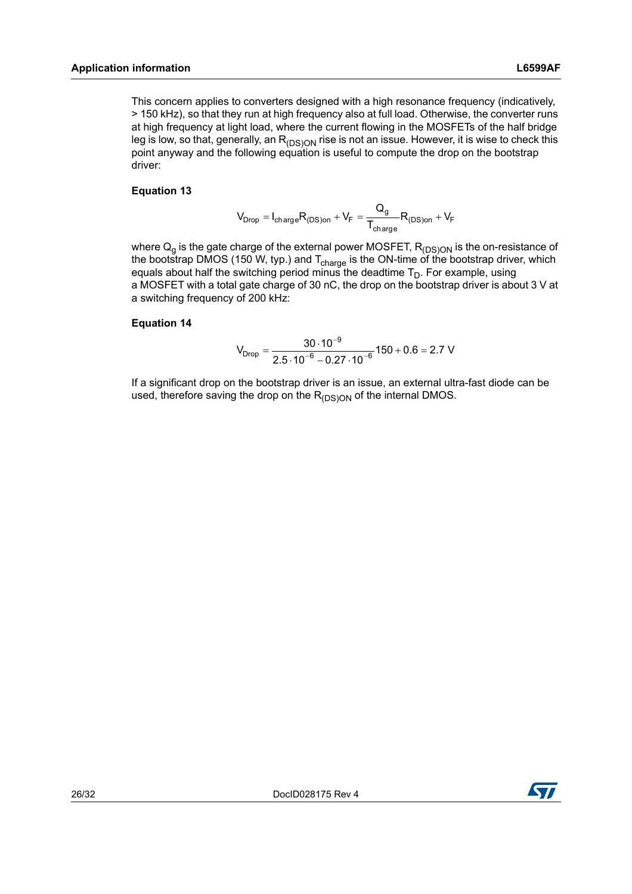This concern applies to converters designed with a high resonance frequency (indicatively, > 150 kHz), so that they run at high frequency also at full load. Otherwise, the converter runs at high frequency at light load, where the current flowing in the MOSFETs of the half bridge leg is low, so that, generally, an  $R_{(DS)ON}$  rise is not an issue. However, it is wise to check this point anyway and the following equation is useful to compute the drop on the bootstrap driver:

### **Equation 13**

$$
V_{Drop} = I_{charge}R_{(DS)on} + V_F = \frac{Q_g}{T_{charge}}R_{(DS)on} + V_F
$$

where  ${\sf Q}_{{\sf g}}$  is the gate charge of the external power MOSFET,  ${\sf R}_{\sf (DS)ON}$  is the on-resistance of the bootstrap DMOS (150 W, typ.) and T<sub>charge</sub> is the ON-time of the bootstrap driver, which equals about half the switching period minus the deadtime  $T_D$ . For example, using a MOSFET with a total gate charge of 30 nC, the drop on the bootstrap driver is about 3 V at a switching frequency of 200 kHz:

### **Equation 14**

$$
V_{Drop} = \frac{30 \cdot 10^{-9}}{2.5 \cdot 10^{-6} - 0.27 \cdot 10^{-6}} 150 + 0.6 = 2.7 V
$$

If a significant drop on the bootstrap driver is an issue, an external ultra-fast diode can be used, therefore saving the drop on the  $R_{(DS)ON}$  of the internal DMOS.

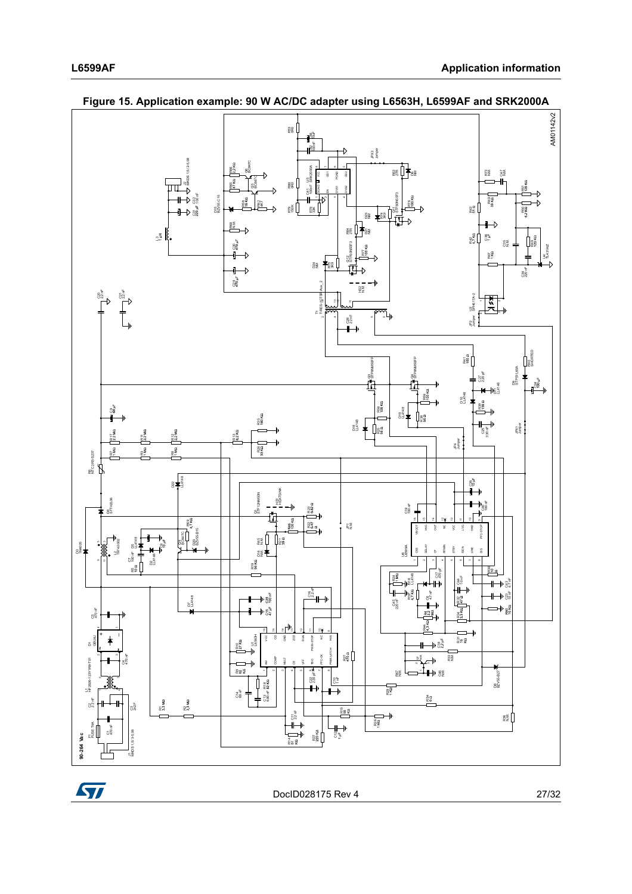



<span id="page-26-0"></span>**Figure 15. Application example: 90 W AC/DC adapter using L6563H, L6599AF and SRK2000A**

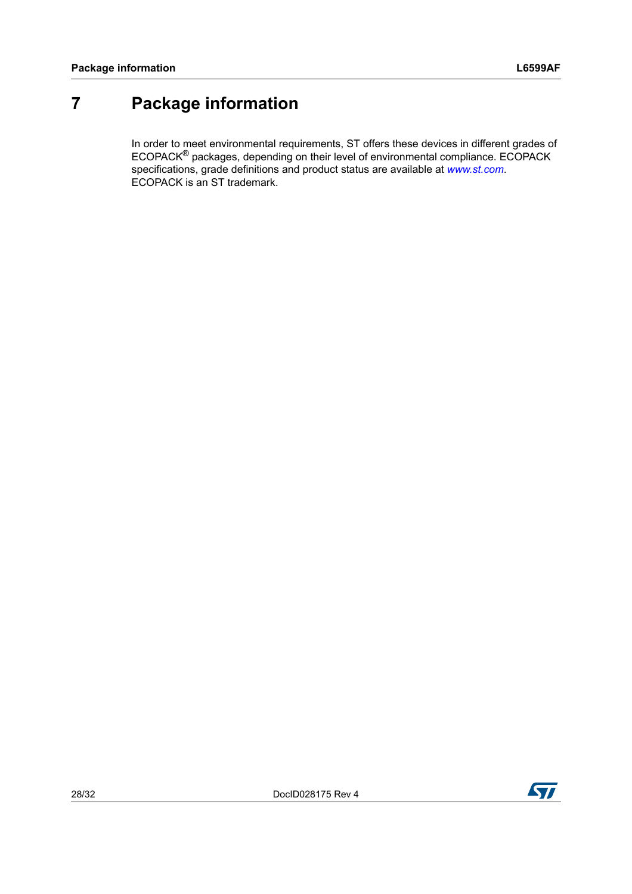# <span id="page-27-0"></span>**7 Package information**

In order to meet environmental requirements, ST offers these devices in different grades of ECOPACK® packages, depending on their level of environmental compliance. ECOPACK specifications, grade definitions and product status are available at *[www.st.com](http://www.st.com)*. ECOPACK is an ST trademark.

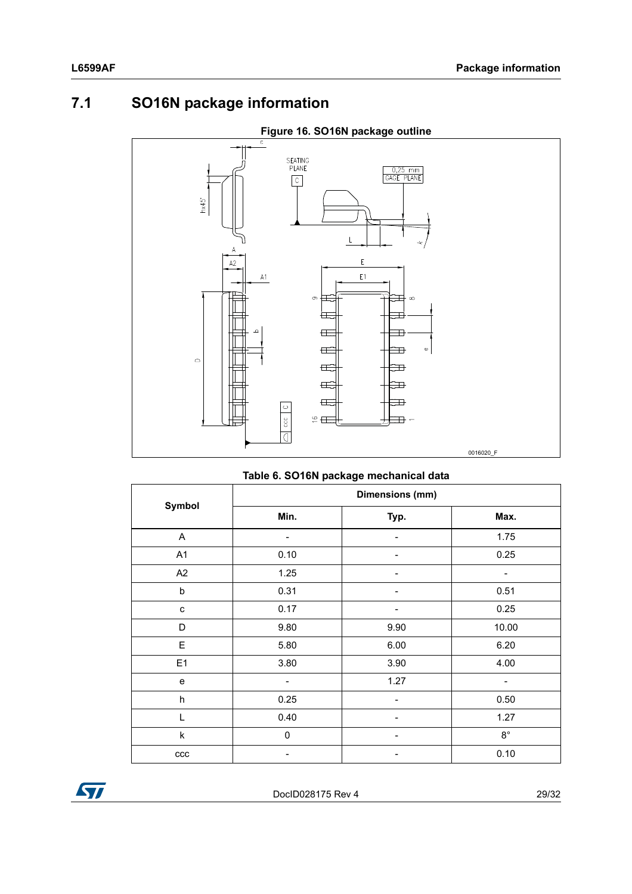# <span id="page-28-0"></span>**7.1 SO16N package information**



**Figure 16. SO16N package outline**

**Table 6. SO16N package mechanical data**

|                           | Dimensions (mm) |      |             |  |  |  |
|---------------------------|-----------------|------|-------------|--|--|--|
| Symbol                    | Min.            | Typ. | Max.        |  |  |  |
| A                         |                 |      | 1.75        |  |  |  |
| A1                        | 0.10            |      | 0.25        |  |  |  |
| A2                        | 1.25            |      |             |  |  |  |
| b                         | 0.31            |      | 0.51        |  |  |  |
| C                         | 0.17            |      | 0.25        |  |  |  |
| D                         | 9.80            | 9.90 | 10.00       |  |  |  |
| $\mathsf E$               | 5.80            | 6.00 | 6.20        |  |  |  |
| E <sub>1</sub>            | 3.80            | 3.90 | 4.00        |  |  |  |
| $\mathbf e$               |                 | 1.27 |             |  |  |  |
| $\boldsymbol{\mathsf{h}}$ | 0.25            |      | 0.50        |  |  |  |
|                           | 0.40            |      | 1.27        |  |  |  |
| k                         | $\mathbf 0$     |      | $8^{\circ}$ |  |  |  |
| ccc                       |                 |      | 0.10        |  |  |  |

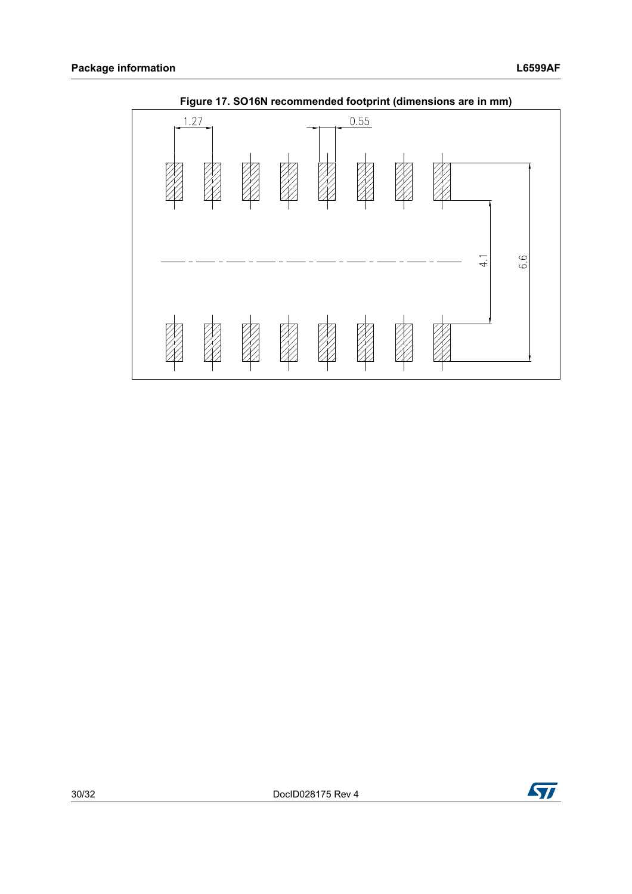

**Figure 17. SO16N recommended footprint (dimensions are in mm)**



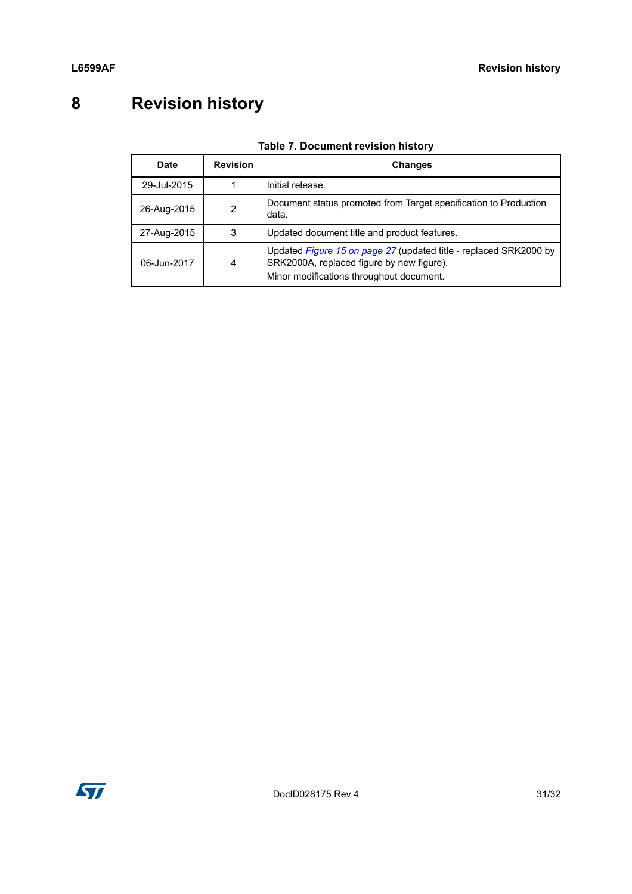# <span id="page-30-0"></span>**8 Revision history**

| Date        | <b>Revision</b> | <b>Changes</b>                                                                                                                                             |
|-------------|-----------------|------------------------------------------------------------------------------------------------------------------------------------------------------------|
| 29-Jul-2015 |                 | Initial release.                                                                                                                                           |
| 26-Aug-2015 | 2               | Document status promoted from Target specification to Production<br>data.                                                                                  |
| 27-Aug-2015 | 3               | Updated document title and product features.                                                                                                               |
| 06-Jun-2017 | 4               | Updated Figure 15 on page 27 (updated title - replaced SRK2000 by<br>SRK2000A, replaced figure by new figure).<br>Minor modifications throughout document. |

### **Table 7. Document revision history**